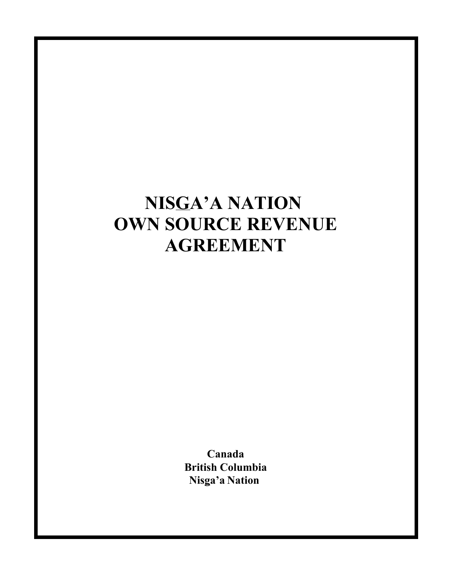**Canada British Columbia Nisga'a Nation**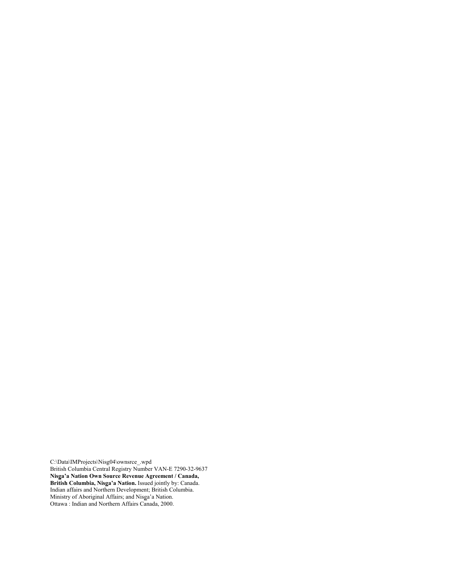C:\Data\IMProjects\Nisg04\ownsrce\_.wpd British Columbia Central Registry Number VAN-E 7290-32-9637 **Nisga'a Nation Own Source Revenue Agreement / Canada, British Columbia, Nisga'a Nation.** Issued jointly by: Canada. Indian affairs and Northern Development; British Columbia. Ministry of Aboriginal Affairs; and Nisga'a Nation. Ottawa : Indian and Northern Affairs Canada, 2000.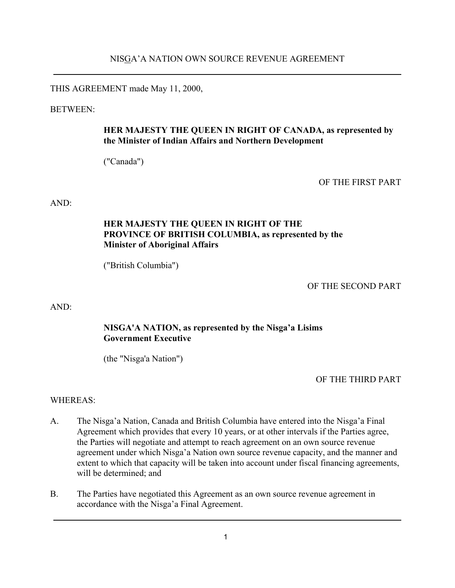THIS AGREEMENT made May 11, 2000,

BETWEEN:

### **HER MAJESTY THE QUEEN IN RIGHT OF CANADA, as represented by the Minister of Indian Affairs and Northern Development**

("Canada")

OF THE FIRST PART

 $AND<sup>+</sup>$ 

### **HER MAJESTY THE QUEEN IN RIGHT OF THE PROVINCE OF BRITISH COLUMBIA, as represented by the Minister of Aboriginal Affairs**

("British Columbia")

OF THE SECOND PART

AND:

### **NISGA'A NATION, as represented by the Nisga'a Lisims Government Executive**

(the "Nisga'a Nation")

OF THE THIRD PART

#### WHEREAS:

- A. The Nisga'a Nation, Canada and British Columbia have entered into the Nisga'a Final Agreement which provides that every 10 years, or at other intervals if the Parties agree, the Parties will negotiate and attempt to reach agreement on an own source revenue agreement under which Nisga'a Nation own source revenue capacity, and the manner and extent to which that capacity will be taken into account under fiscal financing agreements, will be determined; and
- B. The Parties have negotiated this Agreement as an own source revenue agreement in accordance with the Nisga'a Final Agreement.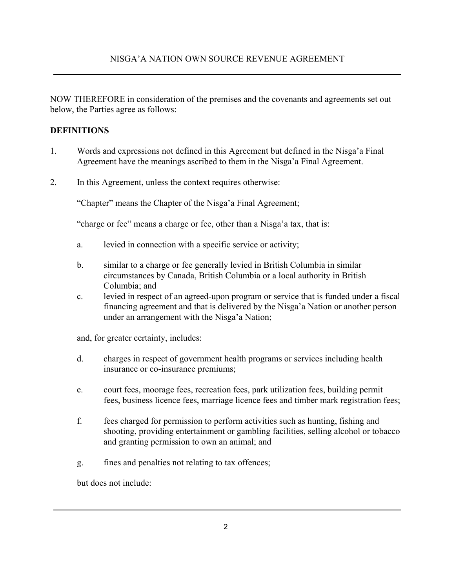NOW THEREFORE in consideration of the premises and the covenants and agreements set out below, the Parties agree as follows:

### **DEFINITIONS**

- 1. Words and expressions not defined in this Agreement but defined in the Nisga'a Final Agreement have the meanings ascribed to them in the Nisga'a Final Agreement.
- 2. In this Agreement, unless the context requires otherwise:

"Chapter" means the Chapter of the Nisga'a Final Agreement;

"charge or fee" means a charge or fee, other than a Nisga'a tax, that is:

- a. levied in connection with a specific service or activity;
- b. similar to a charge or fee generally levied in British Columbia in similar circumstances by Canada, British Columbia or a local authority in British Columbia; and
- c. levied in respect of an agreed-upon program or service that is funded under a fiscal financing agreement and that is delivered by the Nisga'a Nation or another person under an arrangement with the Nisga'a Nation;

and, for greater certainty, includes:

- d. charges in respect of government health programs or services including health insurance or co-insurance premiums;
- e. court fees, moorage fees, recreation fees, park utilization fees, building permit fees, business licence fees, marriage licence fees and timber mark registration fees;
- f. fees charged for permission to perform activities such as hunting, fishing and shooting, providing entertainment or gambling facilities, selling alcohol or tobacco and granting permission to own an animal; and
- g. fines and penalties not relating to tax offences;

but does not include: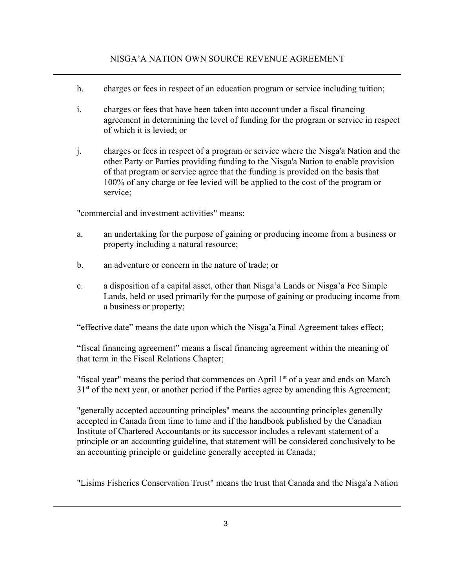- h. charges or fees in respect of an education program or service including tuition;
- i. charges or fees that have been taken into account under a fiscal financing agreement in determining the level of funding for the program or service in respect of which it is levied; or
- j. charges or fees in respect of a program or service where the Nisga'a Nation and the other Party or Parties providing funding to the Nisga'a Nation to enable provision of that program or service agree that the funding is provided on the basis that 100% of any charge or fee levied will be applied to the cost of the program or service;

"commercial and investment activities" means:

- a. an undertaking for the purpose of gaining or producing income from a business or property including a natural resource;
- b. an adventure or concern in the nature of trade; or
- c. a disposition of a capital asset, other than Nisga'a Lands or Nisga'a Fee Simple Lands, held or used primarily for the purpose of gaining or producing income from a business or property;

"effective date" means the date upon which the Nisga'a Final Agreement takes effect;

"fiscal financing agreement" means a fiscal financing agreement within the meaning of that term in the Fiscal Relations Chapter;

"fiscal year" means the period that commences on April  $1<sup>st</sup>$  of a year and ends on March  $31<sup>st</sup>$  of the next year, or another period if the Parties agree by amending this Agreement;

"generally accepted accounting principles" means the accounting principles generally accepted in Canada from time to time and if the handbook published by the Canadian Institute of Chartered Accountants or its successor includes a relevant statement of a principle or an accounting guideline, that statement will be considered conclusively to be an accounting principle or guideline generally accepted in Canada;

"Lisims Fisheries Conservation Trust" means the trust that Canada and the Nisga'a Nation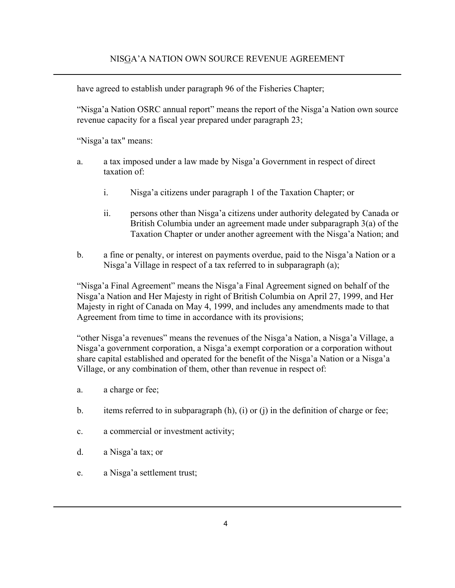have agreed to establish under paragraph 96 of the Fisheries Chapter;

"Nisga'a Nation OSRC annual report" means the report of the Nisga'a Nation own source revenue capacity for a fiscal year prepared under paragraph 23;

"Nisga'a tax" means:

- a. a tax imposed under a law made by Nisga'a Government in respect of direct taxation of:
	- i. Nisga'a citizens under paragraph 1 of the Taxation Chapter; or
	- ii. persons other than Nisga'a citizens under authority delegated by Canada or British Columbia under an agreement made under subparagraph 3(a) of the Taxation Chapter or under another agreement with the Nisga'a Nation; and
- b. a fine or penalty, or interest on payments overdue, paid to the Nisga'a Nation or a Nisga'a Village in respect of a tax referred to in subparagraph (a);

"Nisga'a Final Agreement" means the Nisga'a Final Agreement signed on behalf of the Nisga'a Nation and Her Majesty in right of British Columbia on April 27, 1999, and Her Majesty in right of Canada on May 4, 1999, and includes any amendments made to that Agreement from time to time in accordance with its provisions;

"other Nisga'a revenues" means the revenues of the Nisga'a Nation, a Nisga'a Village, a Nisga'a government corporation, a Nisga'a exempt corporation or a corporation without share capital established and operated for the benefit of the Nisga'a Nation or a Nisga'a Village, or any combination of them, other than revenue in respect of:

- a. a charge or fee;
- b. items referred to in subparagraph  $(h)$ ,  $(i)$  or  $(i)$  in the definition of charge or fee;
- c. a commercial or investment activity;
- d. a Nisga'a tax; or
- e. a Nisga'a settlement trust;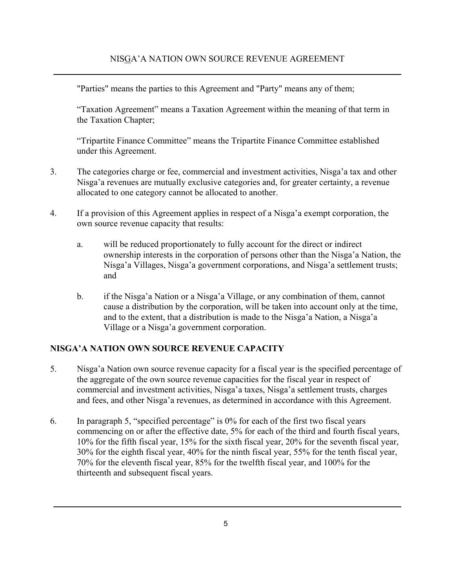"Parties" means the parties to this Agreement and "Party" means any of them;

"Taxation Agreement" means a Taxation Agreement within the meaning of that term in the Taxation Chapter;

"Tripartite Finance Committee" means the Tripartite Finance Committee established under this Agreement.

- 3. The categories charge or fee, commercial and investment activities, Nisga'a tax and other Nisga'a revenues are mutually exclusive categories and, for greater certainty, a revenue allocated to one category cannot be allocated to another.
- 4. If a provision of this Agreement applies in respect of a Nisga'a exempt corporation, the own source revenue capacity that results:
	- a. will be reduced proportionately to fully account for the direct or indirect ownership interests in the corporation of persons other than the Nisga'a Nation, the Nisga'a Villages, Nisga'a government corporations, and Nisga'a settlement trusts; and
	- b. if the Nisga'a Nation or a Nisga'a Village, or any combination of them, cannot cause a distribution by the corporation, will be taken into account only at the time, and to the extent, that a distribution is made to the Nisga'a Nation, a Nisga'a Village or a Nisga'a government corporation.

# **NISGA'A NATION OWN SOURCE REVENUE CAPACITY**

- 5. Nisga'a Nation own source revenue capacity for a fiscal year is the specified percentage of the aggregate of the own source revenue capacities for the fiscal year in respect of commercial and investment activities, Nisga'a taxes, Nisga'a settlement trusts, charges and fees, and other Nisga'a revenues, as determined in accordance with this Agreement.
- 6. In paragraph 5, "specified percentage" is 0% for each of the first two fiscal years commencing on or after the effective date, 5% for each of the third and fourth fiscal years, 10% for the fifth fiscal year, 15% for the sixth fiscal year, 20% for the seventh fiscal year, 30% for the eighth fiscal year, 40% for the ninth fiscal year, 55% for the tenth fiscal year, 70% for the eleventh fiscal year, 85% for the twelfth fiscal year, and 100% for the thirteenth and subsequent fiscal years.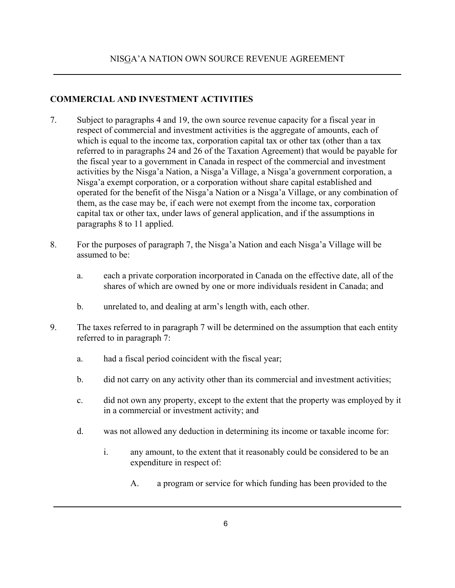### **COMMERCIAL AND INVESTMENT ACTIVITIES**

- 7. Subject to paragraphs 4 and 19, the own source revenue capacity for a fiscal year in respect of commercial and investment activities is the aggregate of amounts, each of which is equal to the income tax, corporation capital tax or other tax (other than a tax referred to in paragraphs 24 and 26 of the Taxation Agreement) that would be payable for the fiscal year to a government in Canada in respect of the commercial and investment activities by the Nisga'a Nation, a Nisga'a Village, a Nisga'a government corporation, a Nisga'a exempt corporation, or a corporation without share capital established and operated for the benefit of the Nisga'a Nation or a Nisga'a Village, or any combination of them, as the case may be, if each were not exempt from the income tax, corporation capital tax or other tax, under laws of general application, and if the assumptions in paragraphs 8 to 11 applied.
- 8. For the purposes of paragraph 7, the Nisga'a Nation and each Nisga'a Village will be assumed to be:
	- a. each a private corporation incorporated in Canada on the effective date, all of the shares of which are owned by one or more individuals resident in Canada; and
	- b. unrelated to, and dealing at arm's length with, each other.
- 9. The taxes referred to in paragraph 7 will be determined on the assumption that each entity referred to in paragraph 7:
	- a. had a fiscal period coincident with the fiscal year;
	- b. did not carry on any activity other than its commercial and investment activities;
	- c. did not own any property, except to the extent that the property was employed by it in a commercial or investment activity; and
	- d. was not allowed any deduction in determining its income or taxable income for:
		- i. any amount, to the extent that it reasonably could be considered to be an expenditure in respect of:
			- A. a program or service for which funding has been provided to the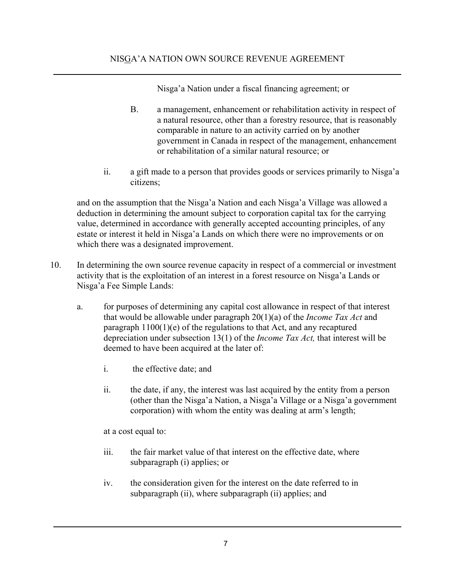Nisga'a Nation under a fiscal financing agreement; or

- B. a management, enhancement or rehabilitation activity in respect of a natural resource, other than a forestry resource, that is reasonably comparable in nature to an activity carried on by another government in Canada in respect of the management, enhancement or rehabilitation of a similar natural resource; or
- ii. a gift made to a person that provides goods or services primarily to Nisga'a citizens;

and on the assumption that the Nisga'a Nation and each Nisga'a Village was allowed a deduction in determining the amount subject to corporation capital tax for the carrying value, determined in accordance with generally accepted accounting principles, of any estate or interest it held in Nisga'a Lands on which there were no improvements or on which there was a designated improvement.

- 10. In determining the own source revenue capacity in respect of a commercial or investment activity that is the exploitation of an interest in a forest resource on Nisga'a Lands or Nisga'a Fee Simple Lands:
	- a. for purposes of determining any capital cost allowance in respect of that interest that would be allowable under paragraph 20(1)(a) of the *Income Tax Act* and paragraph 1100(1)(e) of the regulations to that Act, and any recaptured depreciation under subsection 13(1) of the *Income Tax Act,* that interest will be deemed to have been acquired at the later of:
		- i. the effective date; and
		- ii. the date, if any, the interest was last acquired by the entity from a person (other than the Nisga'a Nation, a Nisga'a Village or a Nisga'a government corporation) with whom the entity was dealing at arm's length;

at a cost equal to:

- iii. the fair market value of that interest on the effective date, where subparagraph (i) applies; or
- iv. the consideration given for the interest on the date referred to in subparagraph (ii), where subparagraph (ii) applies; and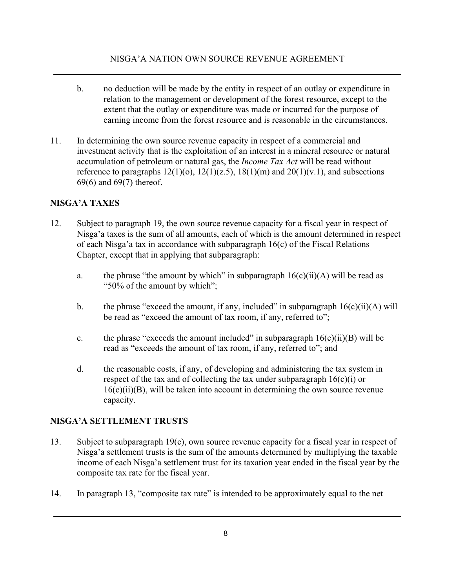- b. no deduction will be made by the entity in respect of an outlay or expenditure in relation to the management or development of the forest resource, except to the extent that the outlay or expenditure was made or incurred for the purpose of earning income from the forest resource and is reasonable in the circumstances.
- 11. In determining the own source revenue capacity in respect of a commercial and investment activity that is the exploitation of an interest in a mineral resource or natural accumulation of petroleum or natural gas, the *Income Tax Act* will be read without reference to paragraphs  $12(1)(o)$ ,  $12(1)(z.5)$ ,  $18(1)(m)$  and  $20(1)(v.1)$ , and subsections 69(6) and 69(7) thereof.

# **NISGA'A TAXES**

- 12. Subject to paragraph 19, the own source revenue capacity for a fiscal year in respect of Nisga'a taxes is the sum of all amounts, each of which is the amount determined in respect of each Nisga'a tax in accordance with subparagraph 16(c) of the Fiscal Relations Chapter, except that in applying that subparagraph:
	- a. the phrase "the amount by which" in subparagraph  $16(c)(ii)(A)$  will be read as "50% of the amount by which";
	- b. the phrase "exceed the amount, if any, included" in subparagraph  $16(c)(ii)(A)$  will be read as "exceed the amount of tax room, if any, referred to";
	- c. the phrase "exceeds the amount included" in subparagraph  $16(c)(ii)(B)$  will be read as "exceeds the amount of tax room, if any, referred to"; and
	- d. the reasonable costs, if any, of developing and administering the tax system in respect of the tax and of collecting the tax under subparagraph  $16(c)(i)$  or  $16(c)(ii)(B)$ , will be taken into account in determining the own source revenue capacity.

# **NISGA'A SETTLEMENT TRUSTS**

- 13. Subject to subparagraph 19(c), own source revenue capacity for a fiscal year in respect of Nisga'a settlement trusts is the sum of the amounts determined by multiplying the taxable income of each Nisga'a settlement trust for its taxation year ended in the fiscal year by the composite tax rate for the fiscal year.
- 14. In paragraph 13, "composite tax rate" is intended to be approximately equal to the net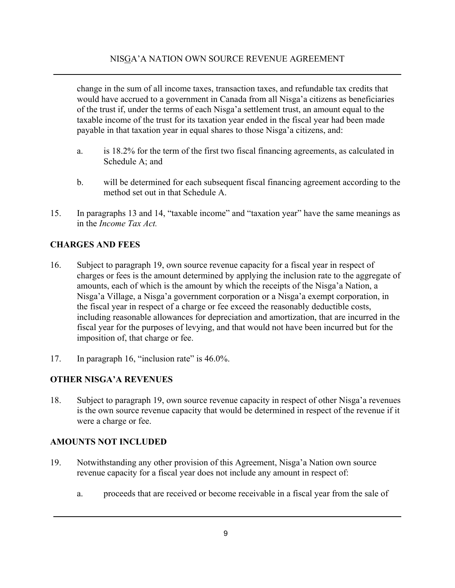change in the sum of all income taxes, transaction taxes, and refundable tax credits that would have accrued to a government in Canada from all Nisga'a citizens as beneficiaries of the trust if, under the terms of each Nisga'a settlement trust, an amount equal to the taxable income of the trust for its taxation year ended in the fiscal year had been made payable in that taxation year in equal shares to those Nisga'a citizens, and:

- a. is 18.2% for the term of the first two fiscal financing agreements, as calculated in Schedule  $A^{\dagger}$  and
- b. will be determined for each subsequent fiscal financing agreement according to the method set out in that Schedule A.
- 15. In paragraphs 13 and 14, "taxable income" and "taxation year" have the same meanings as in the *Income Tax Act.*

### **CHARGES AND FEES**

- 16. Subject to paragraph 19, own source revenue capacity for a fiscal year in respect of charges or fees is the amount determined by applying the inclusion rate to the aggregate of amounts, each of which is the amount by which the receipts of the Nisga'a Nation, a Nisga'a Village, a Nisga'a government corporation or a Nisga'a exempt corporation, in the fiscal year in respect of a charge or fee exceed the reasonably deductible costs, including reasonable allowances for depreciation and amortization, that are incurred in the fiscal year for the purposes of levying, and that would not have been incurred but for the imposition of, that charge or fee.
- 17. In paragraph 16, "inclusion rate" is 46.0%.

# **OTHER NISGA'A REVENUES**

18. Subject to paragraph 19, own source revenue capacity in respect of other Nisga'a revenues is the own source revenue capacity that would be determined in respect of the revenue if it were a charge or fee.

### **AMOUNTS NOT INCLUDED**

- 19. Notwithstanding any other provision of this Agreement, Nisga'a Nation own source revenue capacity for a fiscal year does not include any amount in respect of:
	- a. proceeds that are received or become receivable in a fiscal year from the sale of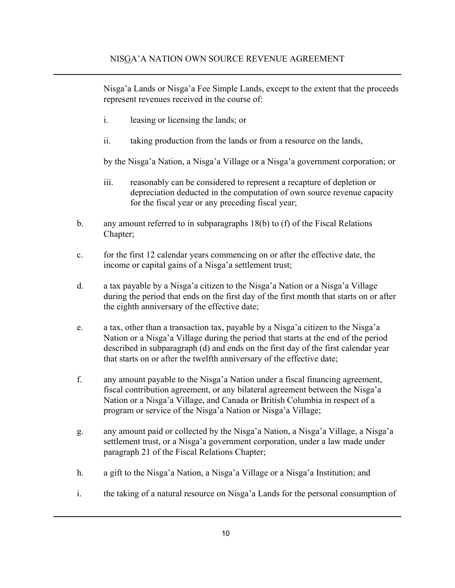Nisga'a Lands or Nisga'a Fee Simple Lands, except to the extent that the proceeds represent revenues received in the course of:

- i. leasing or licensing the lands; or
- ii. taking production from the lands or from a resource on the lands,

by the Nisga'a Nation, a Nisga'a Village or a Nisga'a government corporation; or

- iii. reasonably can be considered to represent a recapture of depletion or depreciation deducted in the computation of own source revenue capacity for the fiscal year or any preceding fiscal year;
- b. any amount referred to in subparagraphs 18(b) to (f) of the Fiscal Relations Chapter;
- c. for the first 12 calendar years commencing on or after the effective date, the income or capital gains of a Nisga'a settlement trust;
- d. a tax payable by a Nisga'a citizen to the Nisga'a Nation or a Nisga'a Village during the period that ends on the first day of the first month that starts on or after the eighth anniversary of the effective date;
- e. a tax, other than a transaction tax, payable by a Nisga'a citizen to the Nisga'a Nation or a Nisga'a Village during the period that starts at the end of the period described in subparagraph (d) and ends on the first day of the first calendar year that starts on or after the twelfth anniversary of the effective date;
- f. any amount payable to the Nisga'a Nation under a fiscal financing agreement, fiscal contribution agreement, or any bilateral agreement between the Nisga'a Nation or a Nisga'a Village, and Canada or British Columbia in respect of a program or service of the Nisga'a Nation or Nisga'a Village;
- g. any amount paid or collected by the Nisga'a Nation, a Nisga'a Village, a Nisga'a settlement trust, or a Nisga'a government corporation, under a law made under paragraph 21 of the Fiscal Relations Chapter;
- h. a gift to the Nisga'a Nation, a Nisga'a Village or a Nisga'a Institution; and
- i. the taking of a natural resource on Nisga'a Lands for the personal consumption of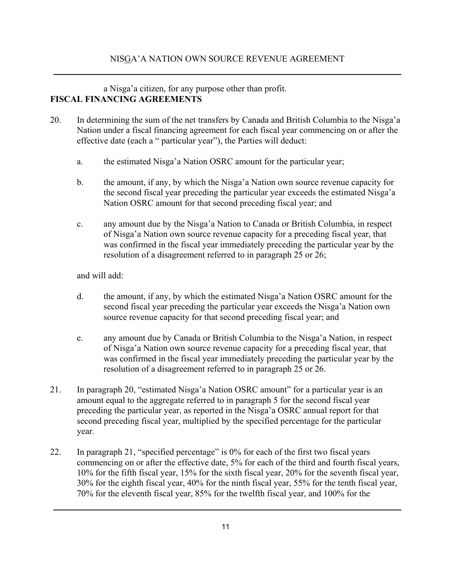### a Nisga'a citizen, for any purpose other than profit. **FISCAL FINANCING AGREEMENTS**

- 20. In determining the sum of the net transfers by Canada and British Columbia to the Nisga'a Nation under a fiscal financing agreement for each fiscal year commencing on or after the effective date (each a " particular year"), the Parties will deduct:
	- a. the estimated Nisga'a Nation OSRC amount for the particular year;
	- b. the amount, if any, by which the Nisga'a Nation own source revenue capacity for the second fiscal year preceding the particular year exceeds the estimated Nisga'a Nation OSRC amount for that second preceding fiscal year; and
	- c. any amount due by the Nisga'a Nation to Canada or British Columbia, in respect of Nisga'a Nation own source revenue capacity for a preceding fiscal year, that was confirmed in the fiscal year immediately preceding the particular year by the resolution of a disagreement referred to in paragraph 25 or 26;

and will add:

- d. the amount, if any, by which the estimated Nisga'a Nation OSRC amount for the second fiscal year preceding the particular year exceeds the Nisga'a Nation own source revenue capacity for that second preceding fiscal year; and
- e. any amount due by Canada or British Columbia to the Nisga'a Nation, in respect of Nisga'a Nation own source revenue capacity for a preceding fiscal year, that was confirmed in the fiscal year immediately preceding the particular year by the resolution of a disagreement referred to in paragraph 25 or 26.
- 21. In paragraph 20, "estimated Nisga'a Nation OSRC amount" for a particular year is an amount equal to the aggregate referred to in paragraph 5 for the second fiscal year preceding the particular year, as reported in the Nisga'a OSRC annual report for that second preceding fiscal year, multiplied by the specified percentage for the particular year.
- 22. In paragraph 21, "specified percentage" is 0% for each of the first two fiscal years commencing on or after the effective date, 5% for each of the third and fourth fiscal years, 10% for the fifth fiscal year, 15% for the sixth fiscal year, 20% for the seventh fiscal year, 30% for the eighth fiscal year, 40% for the ninth fiscal year, 55% for the tenth fiscal year, 70% for the eleventh fiscal year, 85% for the twelfth fiscal year, and 100% for the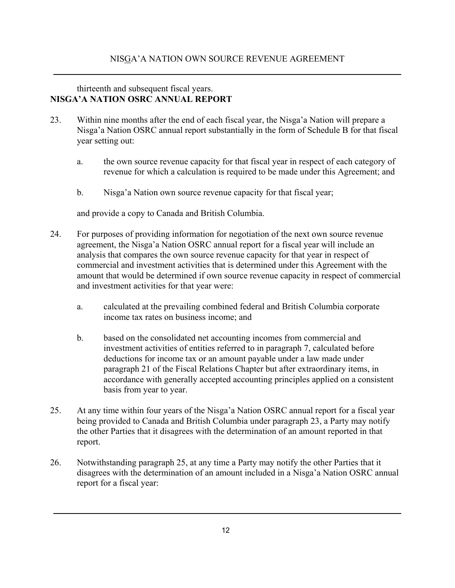### thirteenth and subsequent fiscal years. **NISGA'A NATION OSRC ANNUAL REPORT**

- 23. Within nine months after the end of each fiscal year, the Nisga'a Nation will prepare a Nisga'a Nation OSRC annual report substantially in the form of Schedule B for that fiscal year setting out:
	- a. the own source revenue capacity for that fiscal year in respect of each category of revenue for which a calculation is required to be made under this Agreement; and
	- b. Nisga'a Nation own source revenue capacity for that fiscal year;

and provide a copy to Canada and British Columbia.

- 24. For purposes of providing information for negotiation of the next own source revenue agreement, the Nisga'a Nation OSRC annual report for a fiscal year will include an analysis that compares the own source revenue capacity for that year in respect of commercial and investment activities that is determined under this Agreement with the amount that would be determined if own source revenue capacity in respect of commercial and investment activities for that year were:
	- a. calculated at the prevailing combined federal and British Columbia corporate income tax rates on business income; and
	- b. based on the consolidated net accounting incomes from commercial and investment activities of entities referred to in paragraph 7, calculated before deductions for income tax or an amount payable under a law made under paragraph 21 of the Fiscal Relations Chapter but after extraordinary items, in accordance with generally accepted accounting principles applied on a consistent basis from year to year.
- 25. At any time within four years of the Nisga'a Nation OSRC annual report for a fiscal year being provided to Canada and British Columbia under paragraph 23, a Party may notify the other Parties that it disagrees with the determination of an amount reported in that report.
- 26. Notwithstanding paragraph 25, at any time a Party may notify the other Parties that it disagrees with the determination of an amount included in a Nisga'a Nation OSRC annual report for a fiscal year: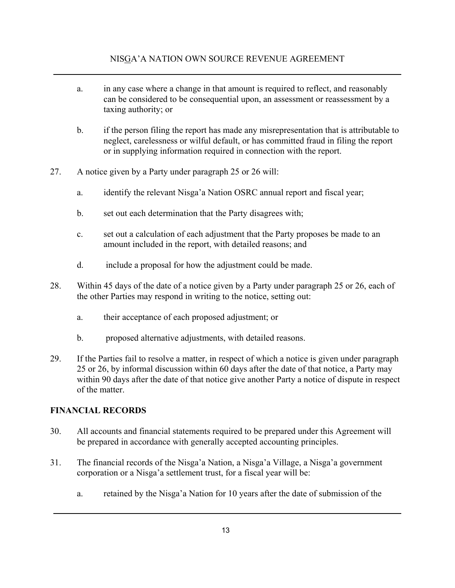- a. in any case where a change in that amount is required to reflect, and reasonably can be considered to be consequential upon, an assessment or reassessment by a taxing authority; or
- b. if the person filing the report has made any misrepresentation that is attributable to neglect, carelessness or wilful default, or has committed fraud in filing the report or in supplying information required in connection with the report.
- 27. A notice given by a Party under paragraph 25 or 26 will:
	- a. identify the relevant Nisga'a Nation OSRC annual report and fiscal year;
	- b. set out each determination that the Party disagrees with;
	- c. set out a calculation of each adjustment that the Party proposes be made to an amount included in the report, with detailed reasons; and
	- d. include a proposal for how the adjustment could be made.
- 28. Within 45 days of the date of a notice given by a Party under paragraph 25 or 26, each of the other Parties may respond in writing to the notice, setting out:
	- a. their acceptance of each proposed adjustment; or
	- b. proposed alternative adjustments, with detailed reasons.
- 29. If the Parties fail to resolve a matter, in respect of which a notice is given under paragraph 25 or 26, by informal discussion within 60 days after the date of that notice, a Party may within 90 days after the date of that notice give another Party a notice of dispute in respect of the matter.

### **FINANCIAL RECORDS**

- 30. All accounts and financial statements required to be prepared under this Agreement will be prepared in accordance with generally accepted accounting principles.
- 31. The financial records of the Nisga'a Nation, a Nisga'a Village, a Nisga'a government corporation or a Nisga'a settlement trust, for a fiscal year will be:
	- a. retained by the Nisga'a Nation for 10 years after the date of submission of the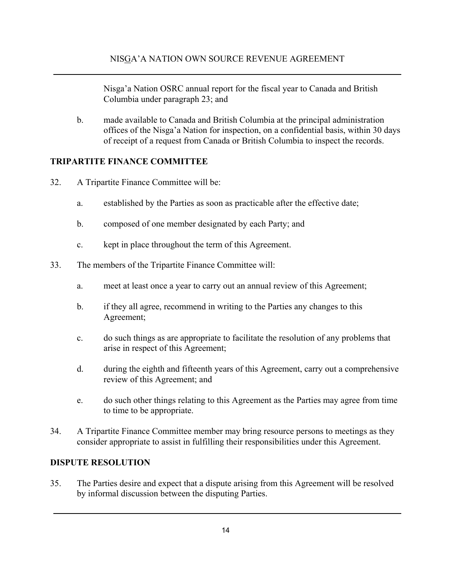Nisga'a Nation OSRC annual report for the fiscal year to Canada and British Columbia under paragraph 23; and

b. made available to Canada and British Columbia at the principal administration offices of the Nisga'a Nation for inspection, on a confidential basis, within 30 days of receipt of a request from Canada or British Columbia to inspect the records.

### **TRIPARTITE FINANCE COMMITTEE**

- 32. A Tripartite Finance Committee will be:
	- a. established by the Parties as soon as practicable after the effective date;
	- b. composed of one member designated by each Party; and
	- c. kept in place throughout the term of this Agreement.
- 33. The members of the Tripartite Finance Committee will:
	- a. meet at least once a year to carry out an annual review of this Agreement;
	- b. if they all agree, recommend in writing to the Parties any changes to this Agreement;
	- c. do such things as are appropriate to facilitate the resolution of any problems that arise in respect of this Agreement;
	- d. during the eighth and fifteenth years of this Agreement, carry out a comprehensive review of this Agreement; and
	- e. do such other things relating to this Agreement as the Parties may agree from time to time to be appropriate.
- 34. A Tripartite Finance Committee member may bring resource persons to meetings as they consider appropriate to assist in fulfilling their responsibilities under this Agreement.

### **DISPUTE RESOLUTION**

35. The Parties desire and expect that a dispute arising from this Agreement will be resolved by informal discussion between the disputing Parties.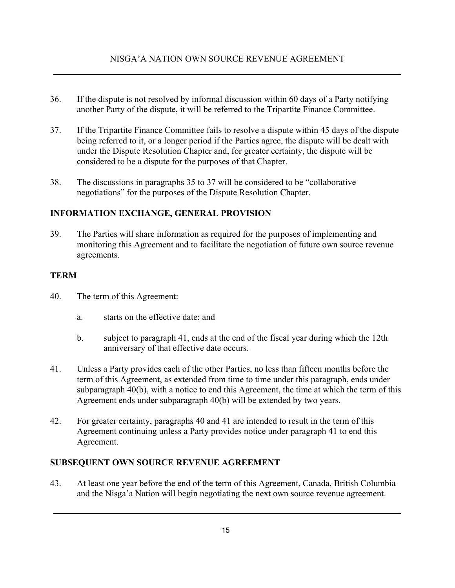- 36. If the dispute is not resolved by informal discussion within 60 days of a Party notifying another Party of the dispute, it will be referred to the Tripartite Finance Committee.
- 37. If the Tripartite Finance Committee fails to resolve a dispute within 45 days of the dispute being referred to it, or a longer period if the Parties agree, the dispute will be dealt with under the Dispute Resolution Chapter and, for greater certainty, the dispute will be considered to be a dispute for the purposes of that Chapter.
- 38. The discussions in paragraphs 35 to 37 will be considered to be "collaborative negotiations" for the purposes of the Dispute Resolution Chapter.

### **INFORMATION EXCHANGE, GENERAL PROVISION**

39. The Parties will share information as required for the purposes of implementing and monitoring this Agreement and to facilitate the negotiation of future own source revenue agreements.

### **TERM**

- 40. The term of this Agreement:
	- a. starts on the effective date; and
	- b. subject to paragraph 41, ends at the end of the fiscal year during which the 12th anniversary of that effective date occurs.
- 41. Unless a Party provides each of the other Parties, no less than fifteen months before the term of this Agreement, as extended from time to time under this paragraph, ends under subparagraph 40(b), with a notice to end this Agreement, the time at which the term of this Agreement ends under subparagraph 40(b) will be extended by two years.
- 42. For greater certainty, paragraphs 40 and 41 are intended to result in the term of this Agreement continuing unless a Party provides notice under paragraph 41 to end this Agreement.

# **SUBSEQUENT OWN SOURCE REVENUE AGREEMENT**

43. At least one year before the end of the term of this Agreement, Canada, British Columbia and the Nisga'a Nation will begin negotiating the next own source revenue agreement.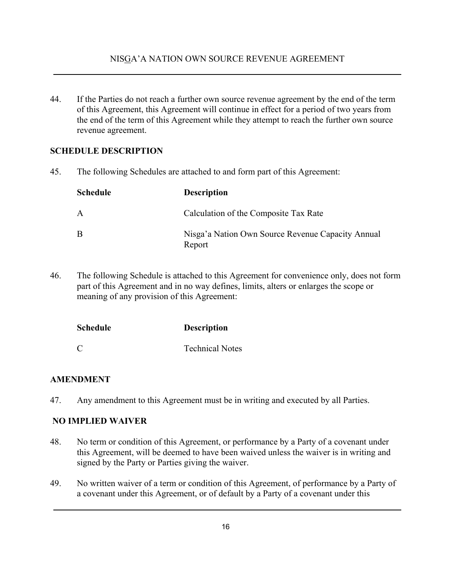44. If the Parties do not reach a further own source revenue agreement by the end of the term of this Agreement, this Agreement will continue in effect for a period of two years from the end of the term of this Agreement while they attempt to reach the further own source revenue agreement.

### **SCHEDULE DESCRIPTION**

45. The following Schedules are attached to and form part of this Agreement:

| Schedule | <b>Description</b>                                          |
|----------|-------------------------------------------------------------|
| A        | Calculation of the Composite Tax Rate                       |
| B        | Nisga'a Nation Own Source Revenue Capacity Annual<br>Report |

46. The following Schedule is attached to this Agreement for convenience only, does not form part of this Agreement and in no way defines, limits, alters or enlarges the scope or meaning of any provision of this Agreement:

| <b>Schedule</b> | <b>Description</b>     |
|-----------------|------------------------|
| C               | <b>Technical Notes</b> |

### **AMENDMENT**

47. Any amendment to this Agreement must be in writing and executed by all Parties.

### **NO IMPLIED WAIVER**

- 48. No term or condition of this Agreement, or performance by a Party of a covenant under this Agreement, will be deemed to have been waived unless the waiver is in writing and signed by the Party or Parties giving the waiver.
- 49. No written waiver of a term or condition of this Agreement, of performance by a Party of a covenant under this Agreement, or of default by a Party of a covenant under this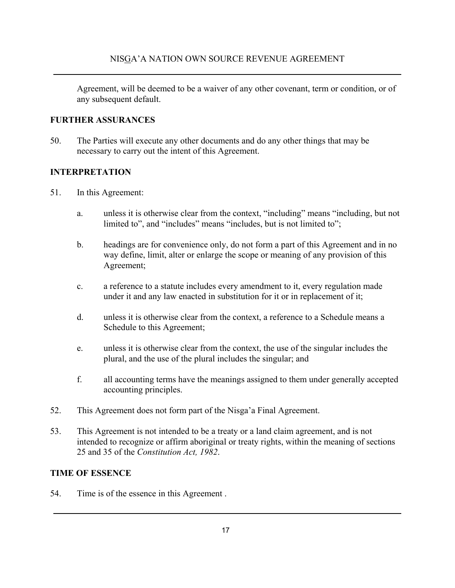Agreement, will be deemed to be a waiver of any other covenant, term or condition, or of any subsequent default.

### **FURTHER ASSURANCES**

50. The Parties will execute any other documents and do any other things that may be necessary to carry out the intent of this Agreement.

### **INTERPRETATION**

- 51. In this Agreement:
	- a. unless it is otherwise clear from the context, "including" means "including, but not limited to", and "includes" means "includes, but is not limited to";
	- b. headings are for convenience only, do not form a part of this Agreement and in no way define, limit, alter or enlarge the scope or meaning of any provision of this Agreement;
	- c. a reference to a statute includes every amendment to it, every regulation made under it and any law enacted in substitution for it or in replacement of it;
	- d. unless it is otherwise clear from the context, a reference to a Schedule means a Schedule to this Agreement;
	- e. unless it is otherwise clear from the context, the use of the singular includes the plural, and the use of the plural includes the singular; and
	- f. all accounting terms have the meanings assigned to them under generally accepted accounting principles.
- 52. This Agreement does not form part of the Nisga'a Final Agreement.
- 53. This Agreement is not intended to be a treaty or a land claim agreement, and is not intended to recognize or affirm aboriginal or treaty rights, within the meaning of sections 25 and 35 of the *Constitution Act, 1982*.

### **TIME OF ESSENCE**

54. Time is of the essence in this Agreement .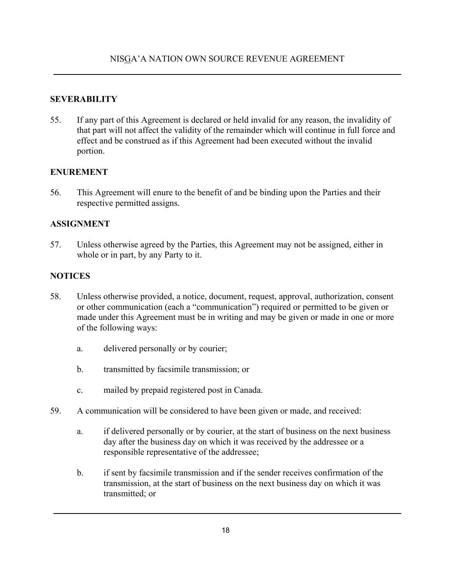### **SEVERABILITY**

55. If any part of this Agreement is declared or held invalid for any reason, the invalidity of that part will not affect the validity of the remainder which will continue in full force and effect and be construed as if this Agreement had been executed without the invalid portion.

### **ENUREMENT**

56. This Agreement will enure to the benefit of and be binding upon the Parties and their respective permitted assigns.

### **ASSIGNMENT**

57. Unless otherwise agreed by the Parties, this Agreement may not be assigned, either in whole or in part, by any Party to it.

### **NOTICES**

- 58. Unless otherwise provided, a notice, document, request, approval, authorization, consent or other communication (each a "communication") required or permitted to be given or made under this Agreement must be in writing and may be given or made in one or more of the following ways:
	- a. delivered personally or by courier;
	- b. transmitted by facsimile transmission; or
	- c. mailed by prepaid registered post in Canada.
- 59. A communication will be considered to have been given or made, and received:
	- a. if delivered personally or by courier, at the start of business on the next business day after the business day on which it was received by the addressee or a responsible representative of the addressee;
	- b. if sent by facsimile transmission and if the sender receives confirmation of the transmission, at the start of business on the next business day on which it was transmitted; or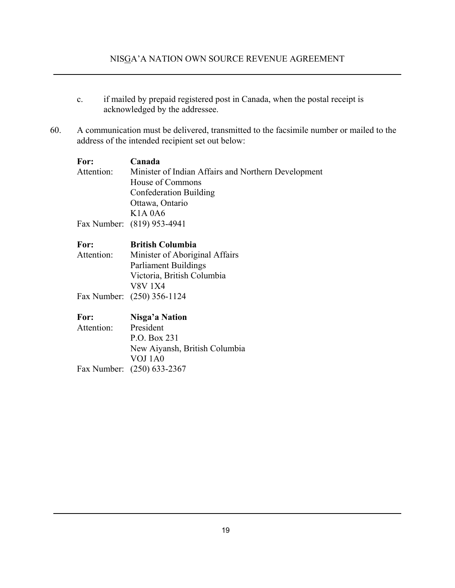- c. if mailed by prepaid registered post in Canada, when the postal receipt is acknowledged by the addressee.
- 60. A communication must be delivered, transmitted to the facsimile number or mailed to the address of the intended recipient set out below:

| For:       | Canada                                              |
|------------|-----------------------------------------------------|
| Attention: | Minister of Indian Affairs and Northern Development |
|            | House of Commons                                    |
|            | Confederation Building                              |
|            | Ottawa, Ontario                                     |
|            | K <sub>1</sub> A <sub>0</sub> A <sub>6</sub>        |
|            | Fax Number: (819) 953-4941                          |
|            |                                                     |

| For:       | <b>British Columbia</b>        |
|------------|--------------------------------|
| Attention: | Minister of Aboriginal Affairs |
|            | <b>Parliament Buildings</b>    |
|            | Victoria, British Columbia     |
|            | <b>V8V 1X4</b>                 |
|            | Fax Number: (250) 356-1124     |

| For:       | Nisga'a Nation                |
|------------|-------------------------------|
| Attention: | President                     |
|            | P.O. Box 231                  |
|            | New Aiyansh, British Columbia |
|            | VOJ 1A0                       |
|            | Fax Number: (250) 633-2367    |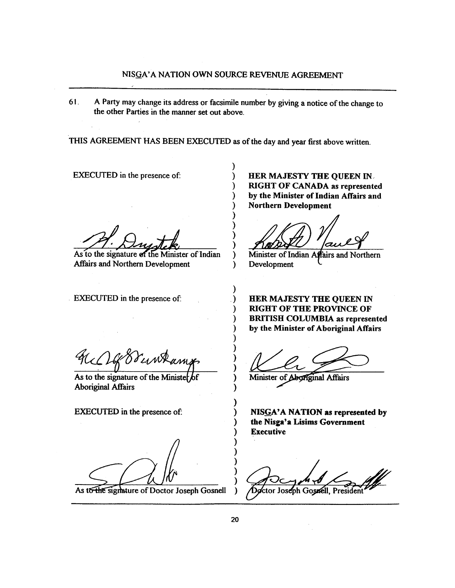61. A Party may change its address or facsimile number by giving a notice of the change to the other Parties in the manner set out above.

THIS AGREEMENT HAS BEEN EXECUTED as of the day and year first above written.

€

€

 $\lambda$ 

)

Ι

)

)

) ⟩  $\lambda$  $\mathcal{Y}$ 

**EXECUTED** in the presence of:

As to the signature of the Minister of Indian **Affairs and Northern Development** 

EXECUTED in the presence of:

HER MAJESTY THE QUEEN IN **RIGHT OF CANADA as represented** by the Minister of Indian Affairs and **Northern Development** 

Minister of Indian Affairs and Northern Development

HER MAJESTY THE QUEEN IN **RIGHT OF THE PROVINCE OF BRITISH COLUMBIA as represented** by the Minister of Aboriginal Affairs

Minister of Aboriginal Affairs

NISGA'A NATION as represented by the Nisga'a Lisims Government **Executive** 

Doctor Joseph Gosnell, President

As to the signature of the Minister of **Aboriginal Affairs** 

**EXECUTED** in the presence of:

As to the signature of Doctor Joseph Gosnell

 $\lambda$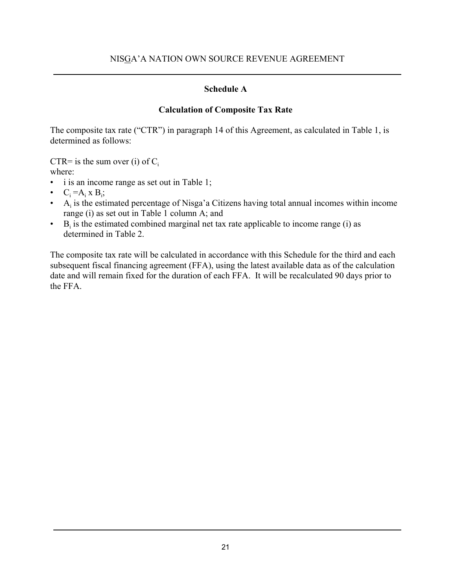### **Schedule A**

### **Calculation of Composite Tax Rate**

The composite tax rate ("CTR") in paragraph 14 of this Agreement, as calculated in Table 1, is determined as follows:

CTR= is the sum over (i) of  $C_i$ 

where:

- i is an income range as set out in Table 1;
- $C_i = A_i \times B_i;$
- $\bullet$  A<sub>i</sub> is the estimated percentage of Nisga'a Citizens having total annual incomes within income range (i) as set out in Table 1 column A; and
- $\bullet$  B<sub>i</sub> is the estimated combined marginal net tax rate applicable to income range (i) as determined in Table 2.

The composite tax rate will be calculated in accordance with this Schedule for the third and each subsequent fiscal financing agreement (FFA), using the latest available data as of the calculation date and will remain fixed for the duration of each FFA. It will be recalculated 90 days prior to the FFA.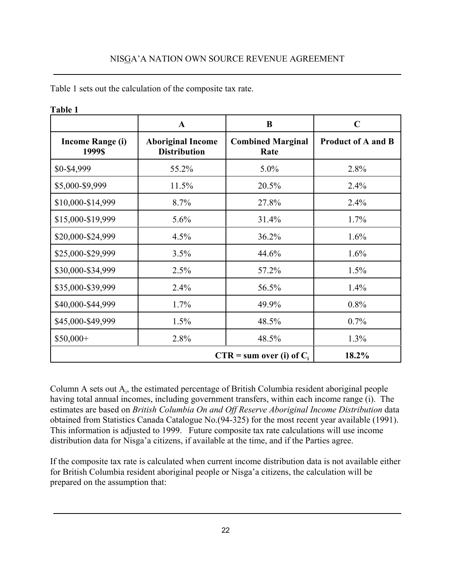|                                   | $\mathbf{A}$                                    | B                                | $\mathbf C$               |  |  |  |
|-----------------------------------|-------------------------------------------------|----------------------------------|---------------------------|--|--|--|
| <b>Income Range (i)</b><br>1999\$ | <b>Aboriginal Income</b><br><b>Distribution</b> | <b>Combined Marginal</b><br>Rate | <b>Product of A and B</b> |  |  |  |
| \$0-\$4,999                       | 55.2%                                           | 5.0%                             | 2.8%                      |  |  |  |
| \$5,000-\$9,999                   | 11.5%                                           | 20.5%                            | 2.4%                      |  |  |  |
| \$10,000-\$14,999                 | 8.7%                                            | 27.8%                            | 2.4%                      |  |  |  |
| \$15,000-\$19,999                 | 5.6%                                            | 31.4%                            | 1.7%                      |  |  |  |
| \$20,000-\$24,999                 | 4.5%                                            | 36.2%                            | 1.6%                      |  |  |  |
| \$25,000-\$29,999                 | 3.5%                                            | 44.6%                            | 1.6%                      |  |  |  |
| \$30,000-\$34,999                 | 2.5%                                            | 57.2%                            | 1.5%                      |  |  |  |
| \$35,000-\$39,999                 | 2.4%                                            | 56.5%                            | 1.4%                      |  |  |  |
| \$40,000-\$44,999                 | 1.7%                                            | 49.9%                            | 0.8%                      |  |  |  |
| \$45,000-\$49,999                 | 1.5%                                            | 48.5%                            | 0.7%                      |  |  |  |
| \$50,000+                         | 2.8%                                            | 48.5%                            | 1.3%                      |  |  |  |
|                                   | $CTR = sum over (i) of Ci$<br>18.2%             |                                  |                           |  |  |  |

Table 1 sets out the calculation of the composite tax rate.

### **Table 1**

Column A sets out  $A_i$ , the estimated percentage of British Columbia resident aboriginal people having total annual incomes, including government transfers, within each income range (i). The estimates are based on *British Columbia On and Off Reserve Aboriginal Income Distribution* data obtained from Statistics Canada Catalogue No.(94-325) for the most recent year available (1991). This information is adjusted to 1999. Future composite tax rate calculations will use income distribution data for Nisga'a citizens, if available at the time, and if the Parties agree.

If the composite tax rate is calculated when current income distribution data is not available either for British Columbia resident aboriginal people or Nisga'a citizens, the calculation will be prepared on the assumption that: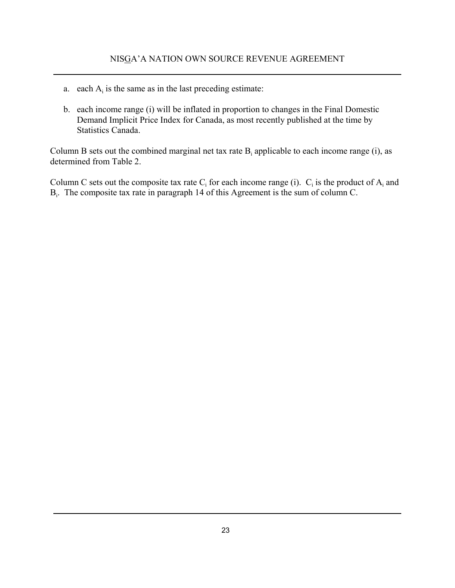- a. each  $A_i$  is the same as in the last preceding estimate:
- b. each income range (i) will be inflated in proportion to changes in the Final Domestic Demand Implicit Price Index for Canada, as most recently published at the time by Statistics Canada.

Column B sets out the combined marginal net tax rate  $B_i$  applicable to each income range (i), as determined from Table 2.

Column C sets out the composite tax rate  $C_i$  for each income range (i).  $C_i$  is the product of  $A_i$  and B<sub>i</sub>. The composite tax rate in paragraph 14 of this Agreement is the sum of column C.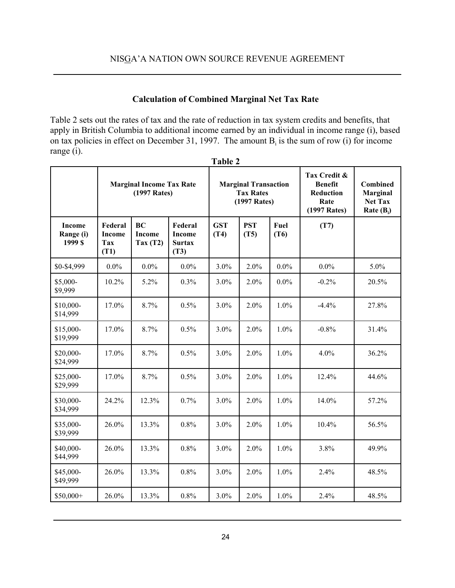### **Calculation of Combined Marginal Net Tax Rate**

Table 2 sets out the rates of tax and the rate of reduction in tax system credits and benefits, that apply in British Columbia to additional income earned by an individual in income range (i), based on tax policies in effect on December 31, 1997. The amount  $B_i$  is the sum of row (i) for income range (i). **Table 2**

|                                       |                                         |                                                       |                                                   | 1 adie <i>2</i>                                                 |                    |              |                                                                     |                                                               |
|---------------------------------------|-----------------------------------------|-------------------------------------------------------|---------------------------------------------------|-----------------------------------------------------------------|--------------------|--------------|---------------------------------------------------------------------|---------------------------------------------------------------|
|                                       |                                         | <b>Marginal Income Tax Rate</b><br>(1997 Rates)       |                                                   | <b>Marginal Transaction</b><br><b>Tax Rates</b><br>(1997 Rates) |                    |              | Tax Credit &<br><b>Benefit</b><br>Reduction<br>Rate<br>(1997 Rates) | <b>Combined</b><br>Marginal<br><b>Net Tax</b><br>Rate $(B_i)$ |
| <b>Income</b><br>Range (i)<br>1999 \$ | Federal<br><b>Income</b><br>Tax<br>(T1) | <b>BC</b><br><b>Income</b><br>$\text{Tax}(\text{T2})$ | Federal<br><b>Income</b><br><b>Surtax</b><br>(T3) | <b>GST</b><br>(T4)                                              | <b>PST</b><br>(T5) | Fuel<br>(T6) | (T7)                                                                |                                                               |
| \$0-\$4,999                           | $0.0\%$                                 | $0.0\%$                                               | $0.0\%$                                           | 3.0%                                                            | 2.0%               | $0.0\%$      | $0.0\%$                                                             | 5.0%                                                          |
| \$5,000-<br>\$9,999                   | 10.2%                                   | 5.2%                                                  | 0.3%                                              | 3.0%                                                            | 2.0%               | $0.0\%$      | $-0.2%$                                                             | 20.5%                                                         |
| \$10,000-<br>\$14,999                 | 17.0%                                   | 8.7%                                                  | 0.5%                                              | 3.0%                                                            | 2.0%               | 1.0%         | $-4.4%$                                                             | 27.8%                                                         |
| \$15,000-<br>\$19,999                 | 17.0%                                   | 8.7%                                                  | 0.5%                                              | 3.0%                                                            | 2.0%               | 1.0%         | $-0.8%$                                                             | 31.4%                                                         |
| \$20,000-<br>\$24,999                 | 17.0%                                   | 8.7%                                                  | 0.5%                                              | 3.0%                                                            | 2.0%               | 1.0%         | 4.0%                                                                | 36.2%                                                         |
| \$25,000-<br>\$29,999                 | 17.0%                                   | 8.7%                                                  | 0.5%                                              | 3.0%                                                            | 2.0%               | 1.0%         | 12.4%                                                               | 44.6%                                                         |
| \$30,000-<br>\$34,999                 | 24.2%                                   | 12.3%                                                 | 0.7%                                              | 3.0%                                                            | 2.0%               | 1.0%         | 14.0%                                                               | 57.2%                                                         |
| \$35,000-<br>\$39,999                 | 26.0%                                   | 13.3%                                                 | 0.8%                                              | 3.0%                                                            | 2.0%               | 1.0%         | 10.4%                                                               | 56.5%                                                         |
| \$40,000-<br>\$44,999                 | 26.0%                                   | 13.3%                                                 | 0.8%                                              | 3.0%                                                            | 2.0%               | 1.0%         | 3.8%                                                                | 49.9%                                                         |
| \$45,000-<br>\$49,999                 | 26.0%                                   | 13.3%                                                 | 0.8%                                              | 3.0%                                                            | 2.0%               | 1.0%         | 2.4%                                                                | 48.5%                                                         |
| $$50,000+$                            | 26.0%                                   | 13.3%                                                 | 0.8%                                              | 3.0%                                                            | 2.0%               | 1.0%         | 2.4%                                                                | 48.5%                                                         |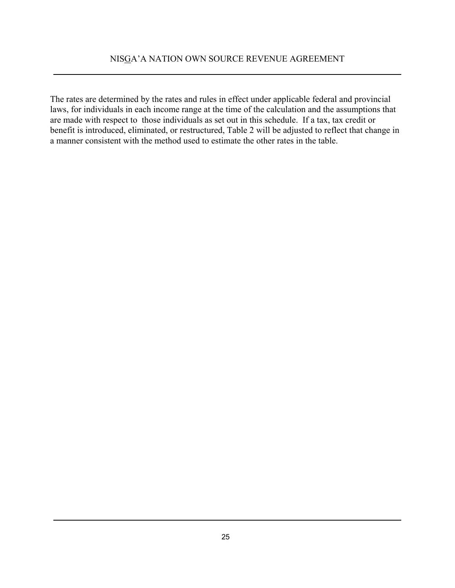The rates are determined by the rates and rules in effect under applicable federal and provincial laws, for individuals in each income range at the time of the calculation and the assumptions that are made with respect to those individuals as set out in this schedule. If a tax, tax credit or benefit is introduced, eliminated, or restructured, Table 2 will be adjusted to reflect that change in a manner consistent with the method used to estimate the other rates in the table.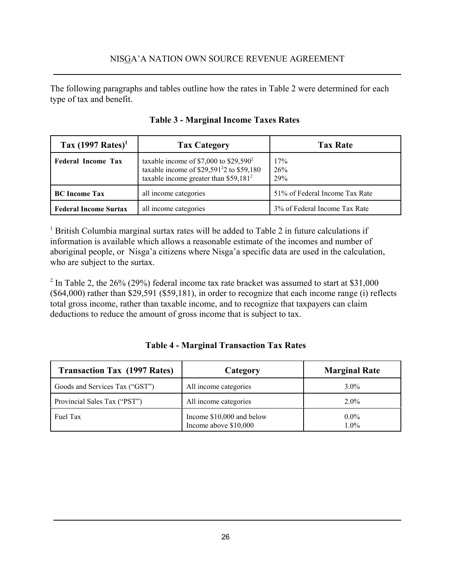The following paragraphs and tables outline how the rates in Table 2 were determined for each type of tax and benefit.

| Tax $(1997$ Rates) <sup>1</sup> | <b>Tax Category</b>                                                                                                                                    | <b>Tax Rate</b>                |  |  |
|---------------------------------|--------------------------------------------------------------------------------------------------------------------------------------------------------|--------------------------------|--|--|
| <b>Federal Income Tax</b>       | taxable income of \$7,000 to \$29,590 <sup>2</sup><br>taxable income of \$29,591 <sup>2</sup> 2 to \$59,180<br>taxable income greater than $$59,181^2$ | 17%<br>26%<br>29%              |  |  |
| <b>BC</b> Income Tax            | all income categories                                                                                                                                  | 51% of Federal Income Tax Rate |  |  |
| <b>Federal Income Surtax</b>    | all income categories                                                                                                                                  | 3% of Federal Income Tax Rate  |  |  |

<sup>1</sup> British Columbia marginal surtax rates will be added to Table 2 in future calculations if information is available which allows a reasonable estimate of the incomes and number of aboriginal people, or Nisga'a citizens where Nisga'a specific data are used in the calculation, who are subject to the surtax.

<sup>2</sup> In Table 2, the 26% (29%) federal income tax rate bracket was assumed to start at \$31,000 (\$64,000) rather than \$29,591 (\$59,181), in order to recognize that each income range (i) reflects total gross income, rather than taxable income, and to recognize that taxpayers can claim deductions to reduce the amount of gross income that is subject to tax.

| <b>Table 4 - Marginal Transaction Tax Rates</b> |
|-------------------------------------------------|
|-------------------------------------------------|

| <b>Transaction Tax (1997 Rates)</b> | Category                                           | <b>Marginal Rate</b> |
|-------------------------------------|----------------------------------------------------|----------------------|
| Goods and Services Tax ("GST")      | All income categories                              | $3.0\%$              |
| Provincial Sales Tax ("PST")        | All income categories                              | $2.0\%$              |
| Fuel Tax                            | Income \$10,000 and below<br>Income above \$10,000 | $0.0\%$<br>$1.0\%$   |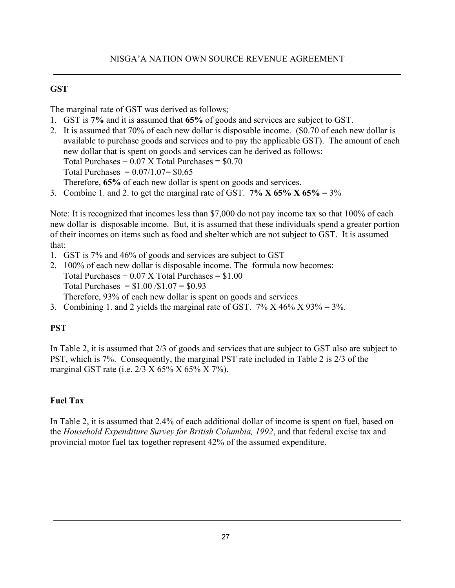### **GST**

The marginal rate of GST was derived as follows;

- 1. GST is **7%** and it is assumed that **65%** of goods and services are subject to GST.
- 2. It is assumed that 70% of each new dollar is disposable income. (\$0.70 of each new dollar is available to purchase goods and services and to pay the applicable GST). The amount of each new dollar that is spent on goods and services can be derived as follows: Total Purchases  $+ 0.07$  X Total Purchases  $= $0.70$ Total Purchases =  $0.07/1.07 = $0.65$

Therefore, **65%** of each new dollar is spent on goods and services.

3. Combine 1. and 2. to get the marginal rate of GST.  $7\%$  X 65%  $X$  65% = 3%

Note: It is recognized that incomes less than \$7,000 do not pay income tax so that 100% of each new dollar is disposable income. But, it is assumed that these individuals spend a greater portion of their incomes on items such as food and shelter which are not subject to GST. It is assumed that:

- 1. GST is 7% and 46% of goods and services are subject to GST
- 2. 100% of each new dollar is disposable income. The formula now becomes: Total Purchases  $+ 0.07$  X Total Purchases  $= $1.00$ Total Purchases =  $$1.00 / $1.07 = $0.93$ Therefore, 93% of each new dollar is spent on goods and services
- 3. Combining 1. and 2 yields the marginal rate of GST.  $7\%$  X 46% X 93% = 3%.

# **PST**

In Table 2, it is assumed that 2/3 of goods and services that are subject to GST also are subject to PST, which is 7%. Consequently, the marginal PST rate included in Table 2 is 2/3 of the marginal GST rate (i.e. 2/3 X 65% X 65% X 7%).

### **Fuel Tax**

In Table 2, it is assumed that 2.4% of each additional dollar of income is spent on fuel, based on the *Household Expenditure Survey for British Columbia, 1992*, and that federal excise tax and provincial motor fuel tax together represent 42% of the assumed expenditure.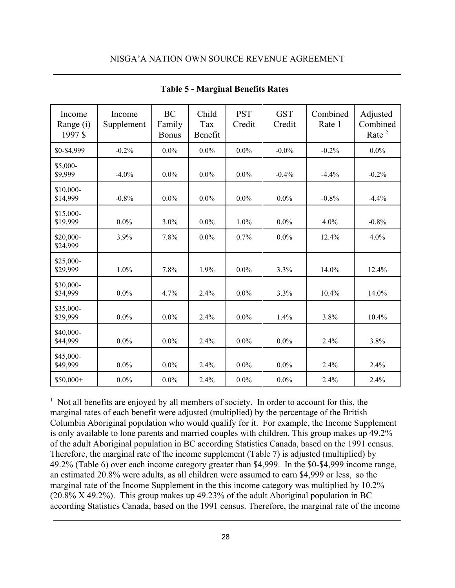| Income<br>Range (i)<br>1997\$ | Income<br>Supplement | <b>BC</b><br>Family<br><b>Bonus</b> | Child<br>Tax<br>Benefit | <b>PST</b><br>Credit | <b>GST</b><br>Credit | Combined<br>Rate 1 | Adjusted<br>Combined<br>Rate <sup>2</sup> |
|-------------------------------|----------------------|-------------------------------------|-------------------------|----------------------|----------------------|--------------------|-------------------------------------------|
| \$0-\$4,999                   | $-0.2%$              | $0.0\%$                             | $0.0\%$                 | $0.0\%$              | $-0.0\%$             | $-0.2%$            | $0.0\%$                                   |
| \$5,000-<br>\$9,999           | $-4.0\%$             | $0.0\%$                             | $0.0\%$                 | $0.0\%$              | $-0.4%$              | $-4.4%$            | $-0.2%$                                   |
| \$10,000-<br>\$14,999         | $-0.8%$              | $0.0\%$                             | $0.0\%$                 | $0.0\%$              | $0.0\%$              | $-0.8%$            | $-4.4%$                                   |
| \$15,000-<br>\$19,999         | $0.0\%$              | 3.0%                                | $0.0\%$                 | 1.0%                 | $0.0\%$              | $4.0\%$            | $-0.8%$                                   |
| \$20,000-<br>\$24,999         | 3.9%                 | 7.8%                                | $0.0\%$                 | 0.7%                 | 0.0%                 | 12.4%              | 4.0%                                      |
| \$25,000-<br>\$29,999         | 1.0%                 | 7.8%                                | 1.9%                    | $0.0\%$              | 3.3%                 | 14.0%              | 12.4%                                     |
| \$30,000-<br>\$34,999         | $0.0\%$              | 4.7%                                | 2.4%                    | $0.0\%$              | 3.3%                 | 10.4%              | 14.0%                                     |
| \$35,000-<br>\$39,999         | $0.0\%$              | $0.0\%$                             | 2.4%                    | $0.0\%$              | 1.4%                 | 3.8%               | 10.4%                                     |
| \$40,000-<br>\$44,999         | $0.0\%$              | $0.0\%$                             | 2.4%                    | $0.0\%$              | $0.0\%$              | 2.4%               | 3.8%                                      |
| \$45,000-<br>\$49,999         | $0.0\%$              | $0.0\%$                             | 2.4%                    | $0.0\%$              | $0.0\%$              | 2.4%               | 2.4%                                      |
| \$50,000+                     | $0.0\%$              | $0.0\%$                             | 2.4%                    | $0.0\%$              | 0.0%                 | 2.4%               | 2.4%                                      |

**Table 5 - Marginal Benefits Rates**

<sup>1</sup> Not all benefits are enjoyed by all members of society. In order to account for this, the marginal rates of each benefit were adjusted (multiplied) by the percentage of the British Columbia Aboriginal population who would qualify for it. For example, the Income Supplement is only available to lone parents and married couples with children. This group makes up 49.2% of the adult Aboriginal population in BC according Statistics Canada, based on the 1991 census. Therefore, the marginal rate of the income supplement (Table 7) is adjusted (multiplied) by 49.2% (Table 6) over each income category greater than \$4,999. In the \$0-\$4,999 income range, an estimated 20.8% were adults, as all children were assumed to earn \$4,999 or less, so the marginal rate of the Income Supplement in the this income category was multiplied by 10.2% (20.8% X 49.2%). This group makes up 49.23% of the adult Aboriginal population in BC according Statistics Canada, based on the 1991 census. Therefore, the marginal rate of the income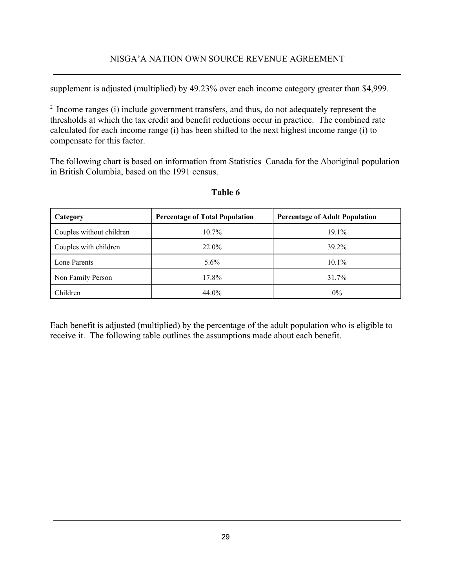supplement is adjusted (multiplied) by 49.23% over each income category greater than \$4,999.

2 Income ranges (i) include government transfers, and thus, do not adequately represent the thresholds at which the tax credit and benefit reductions occur in practice. The combined rate calculated for each income range (i) has been shifted to the next highest income range (i) to compensate for this factor.

The following chart is based on information from Statistics Canada for the Aboriginal population in British Columbia, based on the 1991 census.

| Category                 | <b>Percentage of Total Population</b> | <b>Percentage of Adult Population</b> |
|--------------------------|---------------------------------------|---------------------------------------|
| Couples without children | $10.7\%$                              | $19.1\%$                              |
| Couples with children    | $22.0\%$                              | 39.2%                                 |
| Lone Parents             | $5.6\%$                               | $10.1\%$                              |
| Non Family Person        | 17.8%                                 | 31.7%                                 |
| Children                 | 44.0%                                 | $0\%$                                 |

# **Table 6**

Each benefit is adjusted (multiplied) by the percentage of the adult population who is eligible to receive it. The following table outlines the assumptions made about each benefit.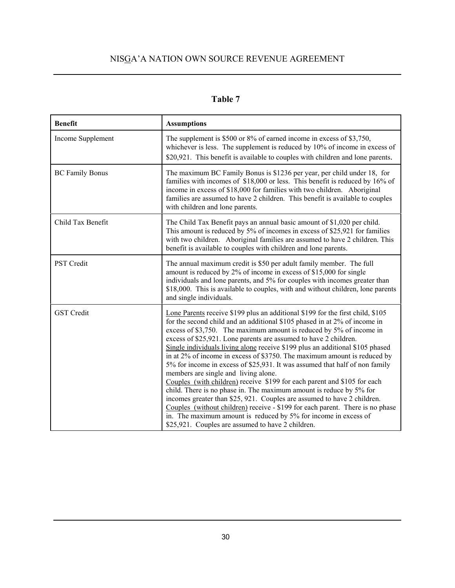# **Table 7**

| <b>Benefit</b>         | <b>Assumptions</b>                                                                                                                                                                                                                                                                                                                                                                                                                                                                                                                                                                                                                                                                                                                                                                                                                                                                                                                                                                                                                |
|------------------------|-----------------------------------------------------------------------------------------------------------------------------------------------------------------------------------------------------------------------------------------------------------------------------------------------------------------------------------------------------------------------------------------------------------------------------------------------------------------------------------------------------------------------------------------------------------------------------------------------------------------------------------------------------------------------------------------------------------------------------------------------------------------------------------------------------------------------------------------------------------------------------------------------------------------------------------------------------------------------------------------------------------------------------------|
| Income Supplement      | The supplement is \$500 or 8% of earned income in excess of \$3,750,<br>whichever is less. The supplement is reduced by 10% of income in excess of<br>\$20,921. This benefit is available to couples with children and lone parents.                                                                                                                                                                                                                                                                                                                                                                                                                                                                                                                                                                                                                                                                                                                                                                                              |
| <b>BC Family Bonus</b> | The maximum BC Family Bonus is \$1236 per year, per child under 18, for<br>families with incomes of \$18,000 or less. This benefit is reduced by 16% of<br>income in excess of \$18,000 for families with two children. Aboriginal<br>families are assumed to have 2 children. This benefit is available to couples<br>with children and lone parents.                                                                                                                                                                                                                                                                                                                                                                                                                                                                                                                                                                                                                                                                            |
| Child Tax Benefit      | The Child Tax Benefit pays an annual basic amount of \$1,020 per child.<br>This amount is reduced by 5% of incomes in excess of \$25,921 for families<br>with two children. Aboriginal families are assumed to have 2 children. This<br>benefit is available to couples with children and lone parents.                                                                                                                                                                                                                                                                                                                                                                                                                                                                                                                                                                                                                                                                                                                           |
| <b>PST</b> Credit      | The annual maximum credit is \$50 per adult family member. The full<br>amount is reduced by 2% of income in excess of \$15,000 for single<br>individuals and lone parents, and 5% for couples with incomes greater than<br>\$18,000. This is available to couples, with and without children, lone parents<br>and single individuals.                                                                                                                                                                                                                                                                                                                                                                                                                                                                                                                                                                                                                                                                                             |
| <b>GST</b> Credit      | Lone Parents receive \$199 plus an additional \$199 for the first child, \$105<br>for the second child and an additional \$105 phased in at 2% of income in<br>excess of \$3,750. The maximum amount is reduced by 5% of income in<br>excess of \$25,921. Lone parents are assumed to have 2 children.<br>Single individuals living alone receive \$199 plus an additional \$105 phased<br>in at 2% of income in excess of \$3750. The maximum amount is reduced by<br>5% for income in excess of \$25,931. It was assumed that half of non family<br>members are single and living alone.<br>Couples (with children) receive \$199 for each parent and \$105 for each<br>child. There is no phase in. The maximum amount is reduce by 5% for<br>incomes greater than \$25, 921. Couples are assumed to have 2 children.<br>Couples (without children) receive - \$199 for each parent. There is no phase<br>in. The maximum amount is reduced by 5% for income in excess of<br>\$25,921. Couples are assumed to have 2 children. |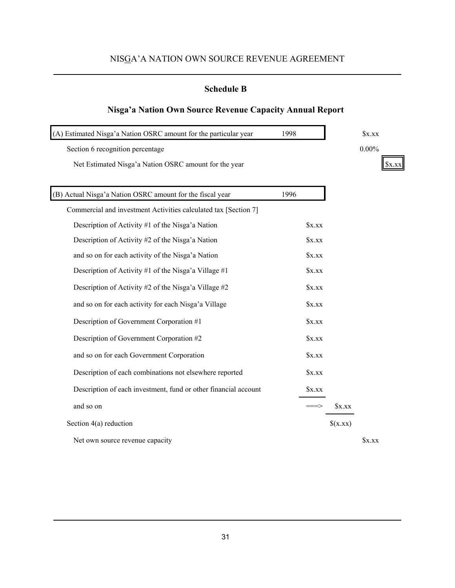### **Schedule B**

### **Nisga'a Nation Own Source Revenue Capacity Annual Report**

| (A) Estimated Nisga'a Nation OSRC amount for the particular year | 1998 |         | xxx                     |
|------------------------------------------------------------------|------|---------|-------------------------|
| Section 6 recognition percentage                                 |      |         | $0.00\%$                |
| Net Estimated Nisga'a Nation OSRC amount for the year            |      |         | $\mathbf{X} \mathbf{X}$ |
|                                                                  |      |         |                         |
| (B) Actual Nisga'a Nation OSRC amount for the fiscal year        | 1996 |         |                         |
| Commercial and investment Activities calculated tax [Section 7]  |      |         |                         |
| Description of Activity #1 of the Nisga'a Nation                 | x.xx |         |                         |
| Description of Activity #2 of the Nisga'a Nation                 | x.xx |         |                         |
| and so on for each activity of the Nisga'a Nation                | xxx  |         |                         |
| Description of Activity #1 of the Nisga'a Village #1             | x.xx |         |                         |
| Description of Activity #2 of the Nisga'a Village #2             | x.xx |         |                         |
| and so on for each activity for each Nisga'a Village             | x.xx |         |                         |
| Description of Government Corporation #1                         | x.xx |         |                         |
| Description of Government Corporation #2                         | x.xx |         |                         |
| and so on for each Government Corporation                        | xxx  |         |                         |
| Description of each combinations not elsewhere reported          | x.xx |         |                         |
| Description of each investment, fund or other financial account  | xxx  |         |                         |
| and so on                                                        |      | $x$ .xx |                         |
| Section 4(a) reduction                                           |      | (x,xx)  |                         |
| Net own source revenue capacity                                  |      |         | $S_{X,XX}$              |

31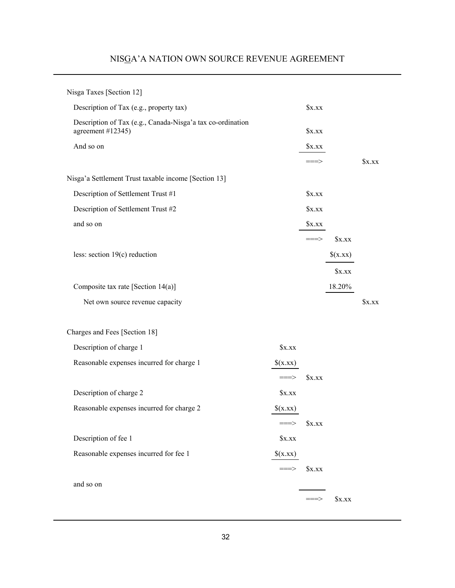| Nisga Taxes [Section 12]                                                        |                      |                    |        |            |
|---------------------------------------------------------------------------------|----------------------|--------------------|--------|------------|
| Description of Tax (e.g., property tax)                                         |                      | $x$ .xx            |        |            |
| Description of Tax (e.g., Canada-Nisga'a tax co-ordination<br>agreement #12345) |                      | x.xx               |        |            |
| And so on                                                                       |                      | x.xx               |        |            |
|                                                                                 |                      |                    |        | xxx        |
| Nisga'a Settlement Trust taxable income [Section 13]                            |                      |                    |        |            |
| Description of Settlement Trust #1                                              |                      | x,xx               |        |            |
| Description of Settlement Trust #2                                              |                      | x.xx               |        |            |
| and so on                                                                       |                      | xxx                |        |            |
|                                                                                 |                      | $=\equiv \equiv >$ | x.xx   |            |
| less: section $19(c)$ reduction                                                 |                      |                    | (x.xx) |            |
|                                                                                 |                      |                    | xxx    |            |
| Composite tax rate [Section 14(a)]                                              |                      |                    | 18.20% |            |
| Net own source revenue capacity                                                 |                      |                    |        | $S_{X,XX}$ |
|                                                                                 |                      |                    |        |            |
| Charges and Fees [Section 18]                                                   |                      |                    |        |            |
| Description of charge 1                                                         | x.xx                 |                    |        |            |
| Reasonable expenses incurred for charge 1                                       | (x,xx)               |                    |        |            |
|                                                                                 |                      | xxx                |        |            |
| Description of charge 2                                                         | x.xx                 |                    |        |            |
| Reasonable expenses incurred for charge 2                                       | (x,xx)               |                    |        |            |
|                                                                                 | ⇒                    | x.xx               |        |            |
| Description of fee 1                                                            | x.xx                 |                    |        |            |
| Reasonable expenses incurred for fee 1                                          | (x,xx)               |                    |        |            |
|                                                                                 | $=\equiv \equiv \gt$ | $x$ .xx            |        |            |
| and so on                                                                       |                      |                    |        |            |
|                                                                                 |                      |                    | x.xx   |            |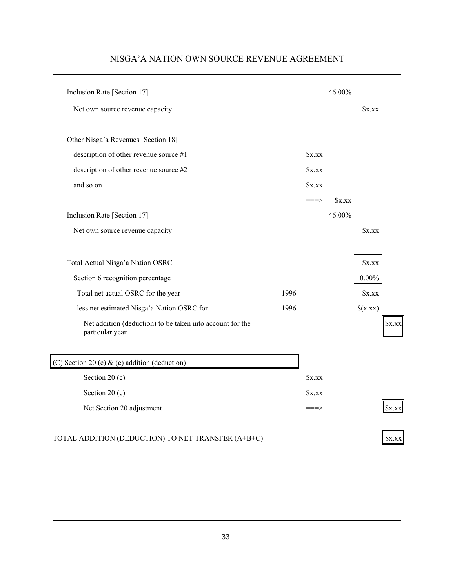| Inclusion Rate [Section 17]                                                  |      |         | 46.00% |          |        |
|------------------------------------------------------------------------------|------|---------|--------|----------|--------|
| Net own source revenue capacity                                              |      |         |        | xxx      |        |
| Other Nisga'a Revenues [Section 18]                                          |      |         |        |          |        |
| description of other revenue source #1                                       |      | $x$ .xx |        |          |        |
| description of other revenue source #2                                       |      | $x$ .xx |        |          |        |
| and so on                                                                    |      | x.xx    |        |          |        |
|                                                                              |      | ===>    | xxx    |          |        |
| Inclusion Rate [Section 17]                                                  |      |         | 46.00% |          |        |
| Net own source revenue capacity                                              |      |         |        | xxx      |        |
| Total Actual Nisga'a Nation OSRC                                             |      |         |        | x.xx     |        |
| Section 6 recognition percentage                                             |      |         |        | $0.00\%$ |        |
| Total net actual OSRC for the year                                           | 1996 |         |        | $x$ .xx  |        |
| less net estimated Nisga'a Nation OSRC for                                   | 1996 |         |        | (x,xx)   |        |
| Net addition (deduction) to be taken into account for the<br>particular year |      |         |        |          | \$X.X) |
| (C) Section 20 (c) & (e) addition (deduction)                                |      |         |        |          |        |
| Section 20 $(c)$                                                             |      | x.xx    |        |          |        |
| Section 20 (e)                                                               |      | x.xx    |        |          |        |
| Net Section 20 adjustment                                                    |      | ===>    |        |          | 5X.X)  |
| TOTAL ADDITION (DEDUCTION) TO NET TRANSFER (A+B+C)                           |      |         |        |          | xxx    |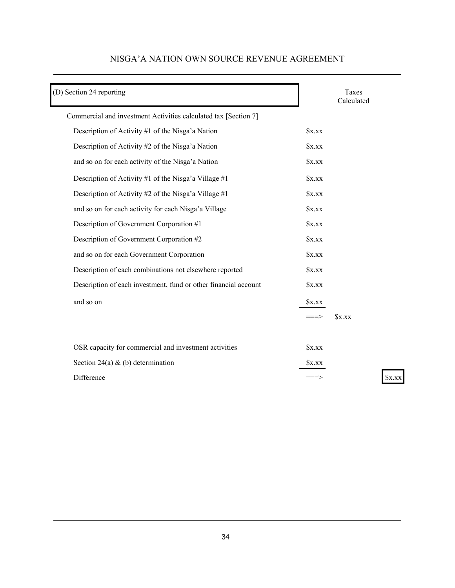| (D) Section 24 reporting                                        |       | Taxes<br>Calculated |
|-----------------------------------------------------------------|-------|---------------------|
| Commercial and investment Activities calculated tax [Section 7] |       |                     |
| Description of Activity #1 of the Nisga'a Nation                | x.xx  |                     |
| Description of Activity #2 of the Nisga'a Nation                | x.xx  |                     |
| and so on for each activity of the Nisga'a Nation               | x.xx  |                     |
| Description of Activity #1 of the Nisga'a Village #1            | x.xx  |                     |
| Description of Activity #2 of the Nisga'a Village #1            | x.xx  |                     |
| and so on for each activity for each Nisga'a Village            | x.xx  |                     |
| Description of Government Corporation #1                        | x.xx  |                     |
| Description of Government Corporation #2                        | x.xx  |                     |
| and so on for each Government Corporation                       | xxx   |                     |
| Description of each combinations not elsewhere reported         | x.xx  |                     |
| Description of each investment, fund or other financial account | xxx   |                     |
| and so on                                                       | x.xx  |                     |
|                                                                 |       | xxx                 |
|                                                                 |       |                     |
| OSR capacity for commercial and investment activities           | xxx   |                     |
| Section 24(a) & (b) determination                               | Sx.xx |                     |
| Difference                                                      |       | \$x.xx              |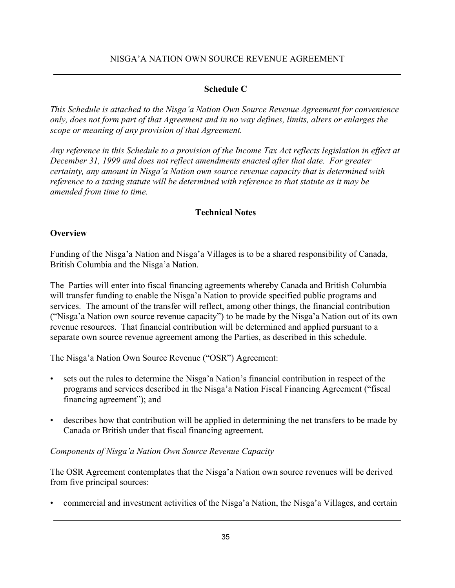### **Schedule C**

*This Schedule is attached to the Nisga'a Nation Own Source Revenue Agreement for convenience only, does not form part of that Agreement and in no way defines, limits, alters or enlarges the scope or meaning of any provision of that Agreement.*

*Any reference in this Schedule to a provision of the Income Tax Act reflects legislation in effect at December 31, 1999 and does not reflect amendments enacted after that date. For greater certainty, any amount in Nisga'a Nation own source revenue capacity that is determined with reference to a taxing statute will be determined with reference to that statute as it may be amended from time to time.* 

### **Technical Notes**

### **Overview**

Funding of the Nisga'a Nation and Nisga'a Villages is to be a shared responsibility of Canada, British Columbia and the Nisga'a Nation.

The Parties will enter into fiscal financing agreements whereby Canada and British Columbia will transfer funding to enable the Nisga'a Nation to provide specified public programs and services. The amount of the transfer will reflect, among other things, the financial contribution ("Nisga'a Nation own source revenue capacity") to be made by the Nisga'a Nation out of its own revenue resources. That financial contribution will be determined and applied pursuant to a separate own source revenue agreement among the Parties, as described in this schedule.

The Nisga'a Nation Own Source Revenue ("OSR") Agreement:

- sets out the rules to determine the Nisga'a Nation's financial contribution in respect of the programs and services described in the Nisga'a Nation Fiscal Financing Agreement ("fiscal financing agreement"); and
- describes how that contribution will be applied in determining the net transfers to be made by Canada or British under that fiscal financing agreement.

### *Components of Nisga'a Nation Own Source Revenue Capacity*

The OSR Agreement contemplates that the Nisga'a Nation own source revenues will be derived from five principal sources:

• commercial and investment activities of the Nisga'a Nation, the Nisga'a Villages, and certain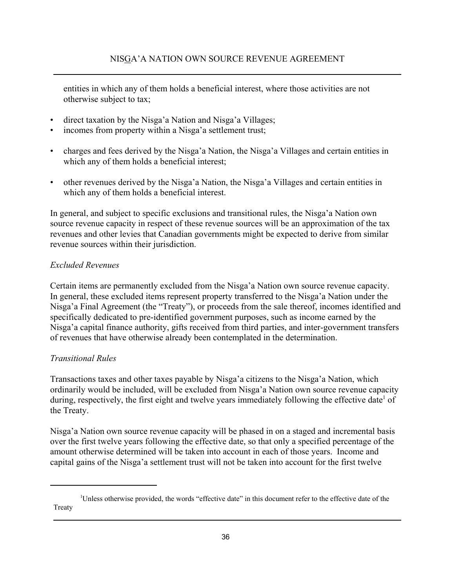entities in which any of them holds a beneficial interest, where those activities are not otherwise subject to tax;

- direct taxation by the Nisga'a Nation and Nisga'a Villages;
- incomes from property within a Nisga'a settlement trust;
- charges and fees derived by the Nisga'a Nation, the Nisga'a Villages and certain entities in which any of them holds a beneficial interest;
- other revenues derived by the Nisga'a Nation, the Nisga'a Villages and certain entities in which any of them holds a beneficial interest.

In general, and subject to specific exclusions and transitional rules, the Nisga'a Nation own source revenue capacity in respect of these revenue sources will be an approximation of the tax revenues and other levies that Canadian governments might be expected to derive from similar revenue sources within their jurisdiction.

### *Excluded Revenues*

Certain items are permanently excluded from the Nisga'a Nation own source revenue capacity. In general, these excluded items represent property transferred to the Nisga'a Nation under the Nisga'a Final Agreement (the "Treaty"), or proceeds from the sale thereof, incomes identified and specifically dedicated to pre-identified government purposes, such as income earned by the Nisga'a capital finance authority, gifts received from third parties, and inter-government transfers of revenues that have otherwise already been contemplated in the determination.

### *Transitional Rules*

Transactions taxes and other taxes payable by Nisga'a citizens to the Nisga'a Nation, which ordinarily would be included, will be excluded from Nisga'a Nation own source revenue capacity during, respectively, the first eight and twelve years immediately following the effective date<sup>1</sup> of the Treaty.

Nisga'a Nation own source revenue capacity will be phased in on a staged and incremental basis over the first twelve years following the effective date, so that only a specified percentage of the amount otherwise determined will be taken into account in each of those years. Income and capital gains of the Nisga'a settlement trust will not be taken into account for the first twelve

<sup>&</sup>lt;sup>1</sup>Unless otherwise provided, the words "effective date" in this document refer to the effective date of the **Treaty**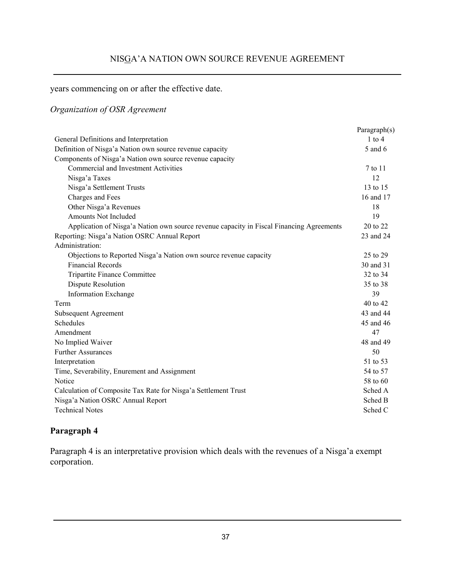years commencing on or after the effective date.

### *Organization of OSR Agreement*

|                                                                                          | Paragraph(s) |
|------------------------------------------------------------------------------------------|--------------|
| General Definitions and Interpretation                                                   | $1$ to $4$   |
| Definition of Nisga'a Nation own source revenue capacity                                 | 5 and 6      |
| Components of Nisga'a Nation own source revenue capacity                                 |              |
| Commercial and Investment Activities                                                     | 7 to 11      |
| Nisga'a Taxes                                                                            | 12           |
| Nisga'a Settlement Trusts                                                                | 13 to 15     |
| Charges and Fees                                                                         | 16 and 17    |
| Other Nisga'a Revenues                                                                   | 18           |
| Amounts Not Included                                                                     | 19           |
| Application of Nisga'a Nation own source revenue capacity in Fiscal Financing Agreements | 20 to 22     |
| Reporting: Nisga'a Nation OSRC Annual Report                                             | 23 and 24    |
| Administration:                                                                          |              |
| Objections to Reported Nisga'a Nation own source revenue capacity                        | 25 to 29     |
| <b>Financial Records</b>                                                                 | 30 and 31    |
| Tripartite Finance Committee                                                             | 32 to 34     |
| <b>Dispute Resolution</b>                                                                | 35 to 38     |
| <b>Information Exchange</b>                                                              | 39           |
| Term                                                                                     | 40 to 42     |
| Subsequent Agreement                                                                     | 43 and 44    |
| Schedules                                                                                | 45 and 46    |
| Amendment                                                                                | 47           |
| No Implied Waiver                                                                        | 48 and 49    |
| <b>Further Assurances</b>                                                                | 50           |
| Interpretation                                                                           | 51 to 53     |
| Time, Severability, Enurement and Assignment                                             | 54 to 57     |
| Notice                                                                                   | 58 to 60     |
| Calculation of Composite Tax Rate for Nisga'a Settlement Trust                           | Sched A      |
| Nisga'a Nation OSRC Annual Report                                                        | Sched B      |
| <b>Technical Notes</b>                                                                   | Sched C      |
|                                                                                          |              |

### **Paragraph 4**

Paragraph 4 is an interpretative provision which deals with the revenues of a Nisga'a exempt corporation.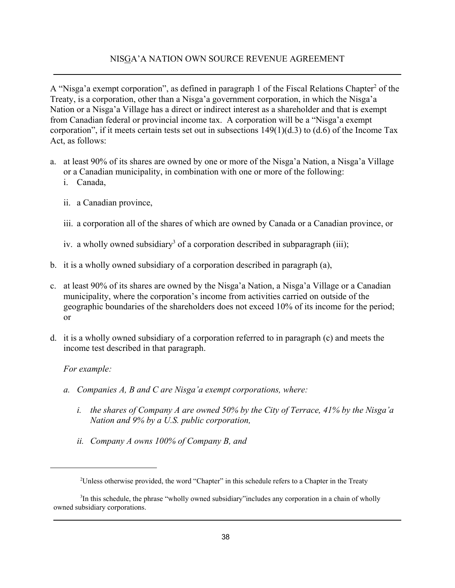A "Nisga'a exempt corporation", as defined in paragraph 1 of the Fiscal Relations Chapter<sup>2</sup> of the Treaty, is a corporation, other than a Nisga'a government corporation, in which the Nisga'a Nation or a Nisga'a Village has a direct or indirect interest as a shareholder and that is exempt from Canadian federal or provincial income tax. A corporation will be a "Nisga'a exempt corporation", if it meets certain tests set out in subsections  $149(1)(d.3)$  to  $(d.6)$  of the Income Tax Act, as follows:

- a. at least 90% of its shares are owned by one or more of the Nisga'a Nation, a Nisga'a Village or a Canadian municipality, in combination with one or more of the following:
	- i. Canada,
	- ii. a Canadian province,
	- iii. a corporation all of the shares of which are owned by Canada or a Canadian province, or
	- iv. a wholly owned subsidiary<sup>3</sup> of a corporation described in subparagraph (iii);
- b. it is a wholly owned subsidiary of a corporation described in paragraph (a),
- c. at least 90% of its shares are owned by the Nisga'a Nation, a Nisga'a Village or a Canadian municipality, where the corporation's income from activities carried on outside of the geographic boundaries of the shareholders does not exceed 10% of its income for the period; or
- d. it is a wholly owned subsidiary of a corporation referred to in paragraph (c) and meets the income test described in that paragraph.

### *For example:*

- *a. Companies A, B and C are Nisga'a exempt corporations, where:*
	- *i. the shares of Company A are owned 50% by the City of Terrace, 41% by the Nisga'a Nation and 9% by a U.S. public corporation,*
	- *ii. Company A owns 100% of Company B, and*

<sup>&</sup>lt;sup>2</sup>Unless otherwise provided, the word "Chapter" in this schedule refers to a Chapter in the Treaty

<sup>&</sup>lt;sup>3</sup>In this schedule, the phrase "wholly owned subsidiary" includes any corporation in a chain of wholly owned subsidiary corporations.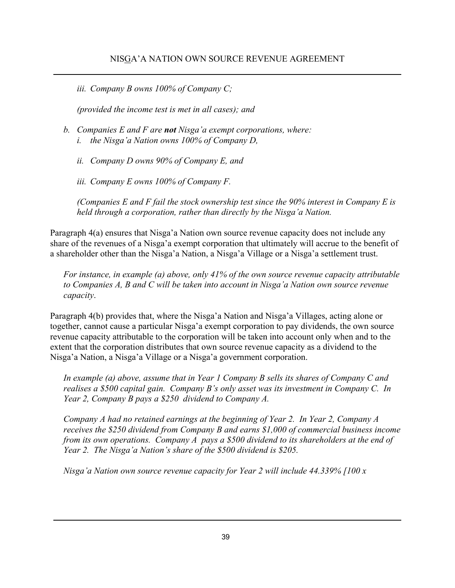*iii. Company B owns 100% of Company C;*

*(provided the income test is met in all cases); and*

- *b. Companies E and F are not Nisga'a exempt corporations, where: i. the Nisga'a Nation owns 100% of Company D,*
	- *ii. Company D owns 90% of Company E, and*
	- *iii. Company E owns 100% of Company F.*

*(Companies E and F fail the stock ownership test since the 90% interest in Company E is held through a corporation, rather than directly by the Nisga'a Nation.*

Paragraph 4(a) ensures that Nisga'a Nation own source revenue capacity does not include any share of the revenues of a Nisga'a exempt corporation that ultimately will accrue to the benefit of a shareholder other than the Nisga'a Nation, a Nisga'a Village or a Nisga'a settlement trust.

*For instance, in example (a) above, only 41% of the own source revenue capacity attributable to Companies A, B and C will be taken into account in Nisga'a Nation own source revenue capacity*.

Paragraph 4(b) provides that, where the Nisga'a Nation and Nisga'a Villages, acting alone or together, cannot cause a particular Nisga'a exempt corporation to pay dividends, the own source revenue capacity attributable to the corporation will be taken into account only when and to the extent that the corporation distributes that own source revenue capacity as a dividend to the Nisga'a Nation, a Nisga'a Village or a Nisga'a government corporation.

*In example (a) above, assume that in Year 1 Company B sells its shares of Company C and realises a \$500 capital gain. Company B's only asset was its investment in Company C. In Year 2, Company B pays a \$250 dividend to Company A.*

*Company A had no retained earnings at the beginning of Year 2. In Year 2, Company A receives the \$250 dividend from Company B and earns \$1,000 of commercial business income from its own operations. Company A pays a \$500 dividend to its shareholders at the end of Year 2. The Nisga'a Nation's share of the \$500 dividend is \$205.*

*Nisga'a Nation own source revenue capacity for Year 2 will include 44.339% [100 x*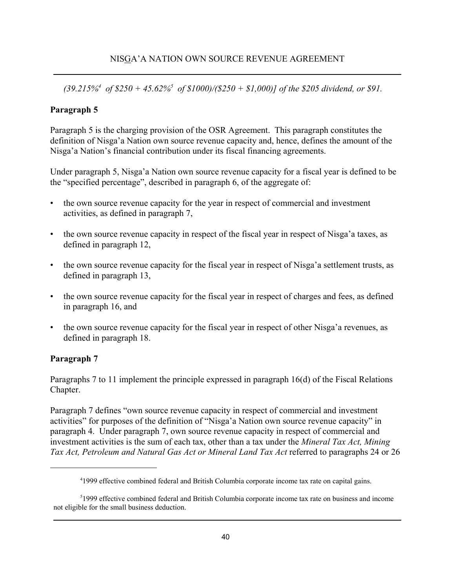*(39.215%4 of \$250 + 45.62%5 of \$1000)/(\$250 + \$1,000)] of the \$205 dividend, or \$91.*

### **Paragraph 5**

Paragraph 5 is the charging provision of the OSR Agreement. This paragraph constitutes the definition of Nisga'a Nation own source revenue capacity and, hence, defines the amount of the Nisga'a Nation's financial contribution under its fiscal financing agreements.

Under paragraph 5, Nisga'a Nation own source revenue capacity for a fiscal year is defined to be the "specified percentage", described in paragraph 6, of the aggregate of:

- the own source revenue capacity for the year in respect of commercial and investment activities, as defined in paragraph 7,
- the own source revenue capacity in respect of the fiscal year in respect of Nisga'a taxes, as defined in paragraph 12,
- the own source revenue capacity for the fiscal year in respect of Nisga'a settlement trusts, as defined in paragraph 13,
- the own source revenue capacity for the fiscal year in respect of charges and fees, as defined in paragraph 16, and
- the own source revenue capacity for the fiscal year in respect of other Nisga'a revenues, as defined in paragraph 18.

### **Paragraph 7**

Paragraphs 7 to 11 implement the principle expressed in paragraph 16(d) of the Fiscal Relations Chapter.

Paragraph 7 defines "own source revenue capacity in respect of commercial and investment activities" for purposes of the definition of "Nisga'a Nation own source revenue capacity" in paragraph 4. Under paragraph 7, own source revenue capacity in respect of commercial and investment activities is the sum of each tax, other than a tax under the *Mineral Tax Act, Mining Tax Act, Petroleum and Natural Gas Act or Mineral Land Tax Act* referred to paragraphs 24 or 26

<sup>&</sup>lt;sup>4</sup>1999 effective combined federal and British Columbia corporate income tax rate on capital gains.

<sup>&</sup>lt;sup>5</sup>1999 effective combined federal and British Columbia corporate income tax rate on business and income not eligible for the small business deduction.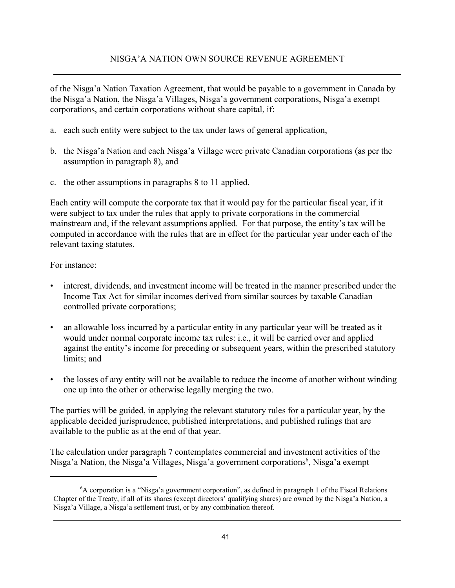of the Nisga'a Nation Taxation Agreement, that would be payable to a government in Canada by the Nisga'a Nation, the Nisga'a Villages, Nisga'a government corporations, Nisga'a exempt corporations, and certain corporations without share capital, if:

- a. each such entity were subject to the tax under laws of general application,
- b. the Nisga'a Nation and each Nisga'a Village were private Canadian corporations (as per the assumption in paragraph 8), and
- c. the other assumptions in paragraphs 8 to 11 applied.

Each entity will compute the corporate tax that it would pay for the particular fiscal year, if it were subject to tax under the rules that apply to private corporations in the commercial mainstream and, if the relevant assumptions applied. For that purpose, the entity's tax will be computed in accordance with the rules that are in effect for the particular year under each of the relevant taxing statutes.

For instance:

- interest, dividends, and investment income will be treated in the manner prescribed under the Income Tax Act for similar incomes derived from similar sources by taxable Canadian controlled private corporations;
- an allowable loss incurred by a particular entity in any particular year will be treated as it would under normal corporate income tax rules: i.e., it will be carried over and applied against the entity's income for preceding or subsequent years, within the prescribed statutory limits; and
- the losses of any entity will not be available to reduce the income of another without winding one up into the other or otherwise legally merging the two.

The parties will be guided, in applying the relevant statutory rules for a particular year, by the applicable decided jurisprudence, published interpretations, and published rulings that are available to the public as at the end of that year.

The calculation under paragraph 7 contemplates commercial and investment activities of the Nisga'a Nation, the Nisga'a Villages, Nisga'a government corporations<sup>6</sup>, Nisga'a exempt

<sup>&</sup>lt;sup>6</sup>A corporation is a "Nisga'a government corporation", as defined in paragraph 1 of the Fiscal Relations Chapter of the Treaty, if all of its shares (except directors' qualifying shares) are owned by the Nisga'a Nation, a Nisga'a Village, a Nisga'a settlement trust, or by any combination thereof.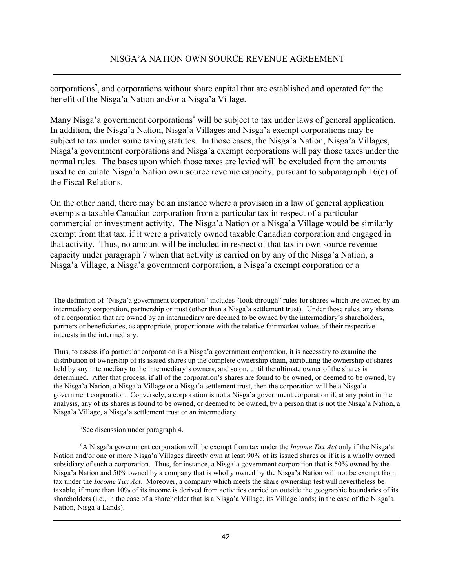corporations<sup>7</sup>, and corporations without share capital that are established and operated for the benefit of the Nisga'a Nation and/or a Nisga'a Village.

Many Nisga'a government corporations<sup>8</sup> will be subject to tax under laws of general application. In addition, the Nisga'a Nation, Nisga'a Villages and Nisga'a exempt corporations may be subject to tax under some taxing statutes. In those cases, the Nisga'a Nation, Nisga'a Villages, Nisga'a government corporations and Nisga'a exempt corporations will pay those taxes under the normal rules. The bases upon which those taxes are levied will be excluded from the amounts used to calculate Nisga'a Nation own source revenue capacity, pursuant to subparagraph 16(e) of the Fiscal Relations.

On the other hand, there may be an instance where a provision in a law of general application exempts a taxable Canadian corporation from a particular tax in respect of a particular commercial or investment activity. The Nisga'a Nation or a Nisga'a Village would be similarly exempt from that tax, if it were a privately owned taxable Canadian corporation and engaged in that activity. Thus, no amount will be included in respect of that tax in own source revenue capacity under paragraph 7 when that activity is carried on by any of the Nisga'a Nation, a Nisga'a Village, a Nisga'a government corporation, a Nisga'a exempt corporation or a

7 See discussion under paragraph 4.

The definition of "Nisga'a government corporation" includes "look through" rules for shares which are owned by an intermediary corporation, partnership or trust (other than a Nisga'a settlement trust). Under those rules, any shares of a corporation that are owned by an intermediary are deemed to be owned by the intermediary's shareholders, partners or beneficiaries, as appropriate, proportionate with the relative fair market values of their respective interests in the intermediary.

Thus, to assess if a particular corporation is a Nisga'a government corporation, it is necessary to examine the distribution of ownership of its issued shares up the complete ownership chain, attributing the ownership of shares held by any intermediary to the intermediary's owners, and so on, until the ultimate owner of the shares is determined. After that process, if all of the corporation's shares are found to be owned, or deemed to be owned, by the Nisga'a Nation, a Nisga'a Village or a Nisga'a settlement trust, then the corporation will be a Nisga'a government corporation. Conversely, a corporation is not a Nisga'a government corporation if, at any point in the analysis, any of its shares is found to be owned, or deemed to be owned, by a person that is not the Nisga'a Nation, a Nisga'a Village, a Nisga'a settlement trust or an intermediary.

<sup>8</sup> A Nisga'a government corporation will be exempt from tax under the *Income Tax Act* only if the Nisga'a Nation and/or one or more Nisga'a Villages directly own at least 90% of its issued shares or if it is a wholly owned subsidiary of such a corporation. Thus, for instance, a Nisga'a government corporation that is 50% owned by the Nisga'a Nation and 50% owned by a company that is wholly owned by the Nisga'a Nation will not be exempt from tax under the *Income Tax Act.* Moreover, a company which meets the share ownership test will nevertheless be taxable, if more than 10% of its income is derived from activities carried on outside the geographic boundaries of its shareholders (i.e., in the case of a shareholder that is a Nisga'a Village, its Village lands; in the case of the Nisga'a Nation, Nisga'a Lands).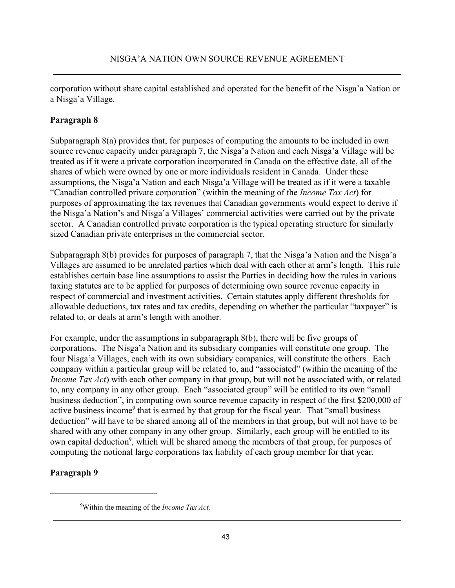corporation without share capital established and operated for the benefit of the Nisga'a Nation or a Nisga'a Village.

### **Paragraph 8**

Subparagraph 8(a) provides that, for purposes of computing the amounts to be included in own source revenue capacity under paragraph 7, the Nisga'a Nation and each Nisga'a Village will be treated as if it were a private corporation incorporated in Canada on the effective date, all of the shares of which were owned by one or more individuals resident in Canada. Under these assumptions, the Nisga'a Nation and each Nisga'a Village will be treated as if it were a taxable "Canadian controlled private corporation" (within the meaning of the *Income Tax Act*) for purposes of approximating the tax revenues that Canadian governments would expect to derive if the Nisga'a Nation's and Nisga'a Villages' commercial activities were carried out by the private sector. A Canadian controlled private corporation is the typical operating structure for similarly sized Canadian private enterprises in the commercial sector.

Subparagraph 8(b) provides for purposes of paragraph 7, that the Nisga'a Nation and the Nisga'a Villages are assumed to be unrelated parties which deal with each other at arm's length. This rule establishes certain base line assumptions to assist the Parties in deciding how the rules in various taxing statutes are to be applied for purposes of determining own source revenue capacity in respect of commercial and investment activities. Certain statutes apply different thresholds for allowable deductions, tax rates and tax credits, depending on whether the particular "taxpayer" is related to, or deals at arm's length with another.

For example, under the assumptions in subparagraph 8(b), there will be five groups of corporations. The Nisga'a Nation and its subsidiary companies will constitute one group. The four Nisga'a Villages, each with its own subsidiary companies, will constitute the others. Each company within a particular group will be related to, and "associated" (within the meaning of the *Income Tax Act*) with each other company in that group, but will not be associated with, or related to, any company in any other group. Each "associated group" will be entitled to its own "small business deduction", in computing own source revenue capacity in respect of the first \$200,000 of active business income<sup>9</sup> that is earned by that group for the fiscal year. That "small business deduction" will have to be shared among all of the members in that group, but will not have to be shared with any other company in any other group. Similarly, each group will be entitled to its own capital deduction<sup>9</sup>, which will be shared among the members of that group, for purposes of computing the notional large corporations tax liability of each group member for that year.

### **Paragraph 9**

<sup>9</sup> Within the meaning of the *Income Tax Act.*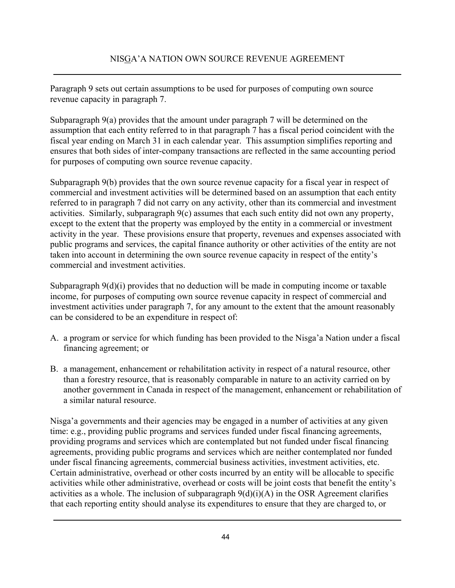Paragraph 9 sets out certain assumptions to be used for purposes of computing own source revenue capacity in paragraph 7.

Subparagraph 9(a) provides that the amount under paragraph 7 will be determined on the assumption that each entity referred to in that paragraph 7 has a fiscal period coincident with the fiscal year ending on March 31 in each calendar year. This assumption simplifies reporting and ensures that both sides of inter-company transactions are reflected in the same accounting period for purposes of computing own source revenue capacity.

Subparagraph 9(b) provides that the own source revenue capacity for a fiscal year in respect of commercial and investment activities will be determined based on an assumption that each entity referred to in paragraph 7 did not carry on any activity, other than its commercial and investment activities. Similarly, subparagraph 9(c) assumes that each such entity did not own any property, except to the extent that the property was employed by the entity in a commercial or investment activity in the year. These provisions ensure that property, revenues and expenses associated with public programs and services, the capital finance authority or other activities of the entity are not taken into account in determining the own source revenue capacity in respect of the entity's commercial and investment activities.

Subparagraph 9(d)(i) provides that no deduction will be made in computing income or taxable income, for purposes of computing own source revenue capacity in respect of commercial and investment activities under paragraph 7, for any amount to the extent that the amount reasonably can be considered to be an expenditure in respect of:

- A. a program or service for which funding has been provided to the Nisga'a Nation under a fiscal financing agreement; or
- B. a management, enhancement or rehabilitation activity in respect of a natural resource, other than a forestry resource, that is reasonably comparable in nature to an activity carried on by another government in Canada in respect of the management, enhancement or rehabilitation of a similar natural resource.

Nisga'a governments and their agencies may be engaged in a number of activities at any given time: e.g., providing public programs and services funded under fiscal financing agreements, providing programs and services which are contemplated but not funded under fiscal financing agreements, providing public programs and services which are neither contemplated nor funded under fiscal financing agreements, commercial business activities, investment activities, etc. Certain administrative, overhead or other costs incurred by an entity will be allocable to specific activities while other administrative, overhead or costs will be joint costs that benefit the entity's activities as a whole. The inclusion of subparagraph  $9(d)(i)(A)$  in the OSR Agreement clarifies that each reporting entity should analyse its expenditures to ensure that they are charged to, or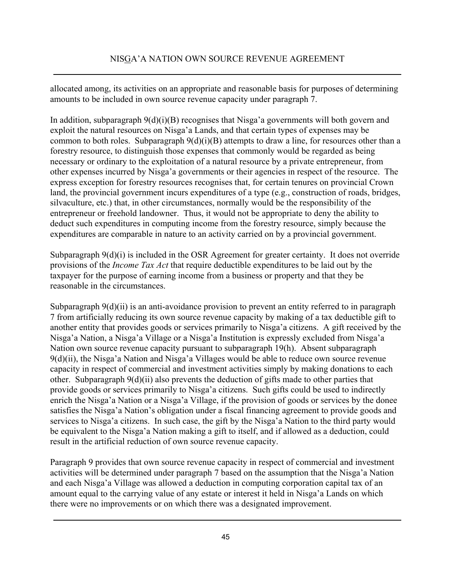allocated among, its activities on an appropriate and reasonable basis for purposes of determining amounts to be included in own source revenue capacity under paragraph 7.

In addition, subparagraph 9(d)(i)(B) recognises that Nisga'a governments will both govern and exploit the natural resources on Nisga'a Lands, and that certain types of expenses may be common to both roles. Subparagraph  $9(d)(i)(B)$  attempts to draw a line, for resources other than a forestry resource, to distinguish those expenses that commonly would be regarded as being necessary or ordinary to the exploitation of a natural resource by a private entrepreneur, from other expenses incurred by Nisga'a governments or their agencies in respect of the resource. The express exception for forestry resources recognises that, for certain tenures on provincial Crown land, the provincial government incurs expenditures of a type (e.g., construction of roads, bridges, silvaculture, etc.) that, in other circumstances, normally would be the responsibility of the entrepreneur or freehold landowner. Thus, it would not be appropriate to deny the ability to deduct such expenditures in computing income from the forestry resource, simply because the expenditures are comparable in nature to an activity carried on by a provincial government.

Subparagraph 9(d)(i) is included in the OSR Agreement for greater certainty. It does not override provisions of the *Income Tax Act* that require deductible expenditures to be laid out by the taxpayer for the purpose of earning income from a business or property and that they be reasonable in the circumstances.

Subparagraph 9(d)(ii) is an anti-avoidance provision to prevent an entity referred to in paragraph 7 from artificially reducing its own source revenue capacity by making of a tax deductible gift to another entity that provides goods or services primarily to Nisga'a citizens. A gift received by the Nisga'a Nation, a Nisga'a Village or a Nisga'a Institution is expressly excluded from Nisga'a Nation own source revenue capacity pursuant to subparagraph 19(h). Absent subparagraph 9(d)(ii), the Nisga'a Nation and Nisga'a Villages would be able to reduce own source revenue capacity in respect of commercial and investment activities simply by making donations to each other. Subparagraph 9(d)(ii) also prevents the deduction of gifts made to other parties that provide goods or services primarily to Nisga'a citizens. Such gifts could be used to indirectly enrich the Nisga'a Nation or a Nisga'a Village, if the provision of goods or services by the donee satisfies the Nisga'a Nation's obligation under a fiscal financing agreement to provide goods and services to Nisga'a citizens. In such case, the gift by the Nisga'a Nation to the third party would be equivalent to the Nisga'a Nation making a gift to itself, and if allowed as a deduction, could result in the artificial reduction of own source revenue capacity.

Paragraph 9 provides that own source revenue capacity in respect of commercial and investment activities will be determined under paragraph 7 based on the assumption that the Nisga'a Nation and each Nisga'a Village was allowed a deduction in computing corporation capital tax of an amount equal to the carrying value of any estate or interest it held in Nisga'a Lands on which there were no improvements or on which there was a designated improvement.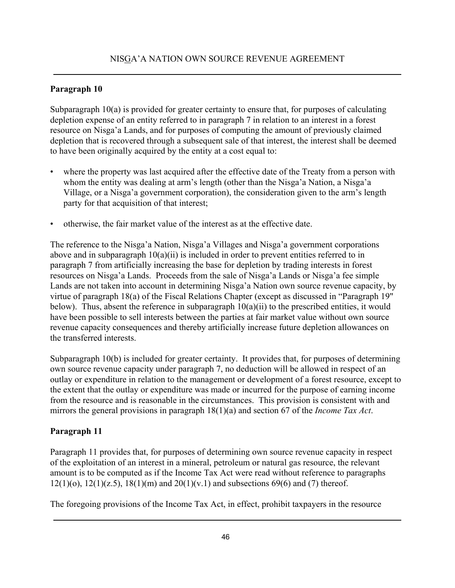### **Paragraph 10**

Subparagraph 10(a) is provided for greater certainty to ensure that, for purposes of calculating depletion expense of an entity referred to in paragraph 7 in relation to an interest in a forest resource on Nisga'a Lands, and for purposes of computing the amount of previously claimed depletion that is recovered through a subsequent sale of that interest, the interest shall be deemed to have been originally acquired by the entity at a cost equal to:

- where the property was last acquired after the effective date of the Treaty from a person with whom the entity was dealing at arm's length (other than the Nisga'a Nation, a Nisga'a Village, or a Nisga'a government corporation), the consideration given to the arm's length party for that acquisition of that interest;
- otherwise, the fair market value of the interest as at the effective date.

The reference to the Nisga'a Nation, Nisga'a Villages and Nisga'a government corporations above and in subparagraph 10(a)(ii) is included in order to prevent entities referred to in paragraph 7 from artificially increasing the base for depletion by trading interests in forest resources on Nisga'a Lands. Proceeds from the sale of Nisga'a Lands or Nisga'a fee simple Lands are not taken into account in determining Nisga'a Nation own source revenue capacity, by virtue of paragraph 18(a) of the Fiscal Relations Chapter (except as discussed in "Paragraph 19" below). Thus, absent the reference in subparagraph  $10(a)(ii)$  to the prescribed entities, it would have been possible to sell interests between the parties at fair market value without own source revenue capacity consequences and thereby artificially increase future depletion allowances on the transferred interests.

Subparagraph 10(b) is included for greater certainty. It provides that, for purposes of determining own source revenue capacity under paragraph 7, no deduction will be allowed in respect of an outlay or expenditure in relation to the management or development of a forest resource, except to the extent that the outlay or expenditure was made or incurred for the purpose of earning income from the resource and is reasonable in the circumstances. This provision is consistent with and mirrors the general provisions in paragraph 18(1)(a) and section 67 of the *Income Tax Act*.

### **Paragraph 11**

Paragraph 11 provides that, for purposes of determining own source revenue capacity in respect of the exploitation of an interest in a mineral, petroleum or natural gas resource, the relevant amount is to be computed as if the Income Tax Act were read without reference to paragraphs  $12(1)(o)$ ,  $12(1)(z.5)$ ,  $18(1)(m)$  and  $20(1)(v.1)$  and subsections 69(6) and (7) thereof.

The foregoing provisions of the Income Tax Act, in effect, prohibit taxpayers in the resource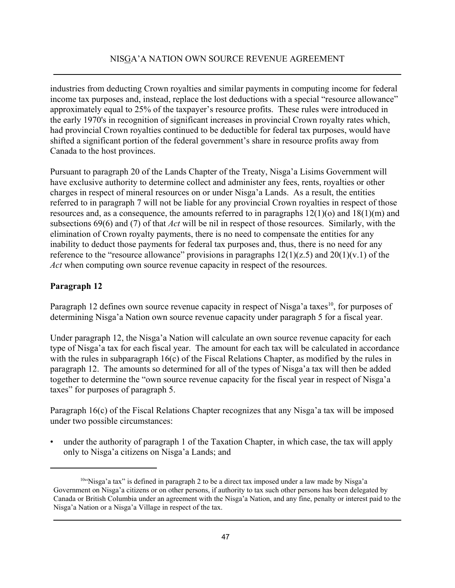industries from deducting Crown royalties and similar payments in computing income for federal income tax purposes and, instead, replace the lost deductions with a special "resource allowance" approximately equal to 25% of the taxpayer's resource profits. These rules were introduced in the early 1970's in recognition of significant increases in provincial Crown royalty rates which, had provincial Crown royalties continued to be deductible for federal tax purposes, would have shifted a significant portion of the federal government's share in resource profits away from Canada to the host provinces.

Pursuant to paragraph 20 of the Lands Chapter of the Treaty, Nisga'a Lisims Government will have exclusive authority to determine collect and administer any fees, rents, royalties or other charges in respect of mineral resources on or under Nisga'a Lands. As a result, the entities referred to in paragraph 7 will not be liable for any provincial Crown royalties in respect of those resources and, as a consequence, the amounts referred to in paragraphs  $12(1)(o)$  and  $18(1)(m)$  and subsections 69(6) and (7) of that *Act* will be nil in respect of those resources. Similarly, with the elimination of Crown royalty payments, there is no need to compensate the entities for any inability to deduct those payments for federal tax purposes and, thus, there is no need for any reference to the "resource allowance" provisions in paragraphs  $12(1)(z.5)$  and  $20(1)(v.1)$  of the *Act* when computing own source revenue capacity in respect of the resources.

### **Paragraph 12**

Paragraph 12 defines own source revenue capacity in respect of Nisga'a taxes<sup>10</sup>, for purposes of determining Nisga'a Nation own source revenue capacity under paragraph 5 for a fiscal year.

Under paragraph 12, the Nisga'a Nation will calculate an own source revenue capacity for each type of Nisga'a tax for each fiscal year. The amount for each tax will be calculated in accordance with the rules in subparagraph 16(c) of the Fiscal Relations Chapter, as modified by the rules in paragraph 12. The amounts so determined for all of the types of Nisga'a tax will then be added together to determine the "own source revenue capacity for the fiscal year in respect of Nisga'a taxes" for purposes of paragraph 5.

Paragraph 16(c) of the Fiscal Relations Chapter recognizes that any Nisga'a tax will be imposed under two possible circumstances:

• under the authority of paragraph 1 of the Taxation Chapter, in which case, the tax will apply only to Nisga'a citizens on Nisga'a Lands; and

<sup>10&</sup>quot;Nisga'a tax" is defined in paragraph 2 to be a direct tax imposed under a law made by Nisga'a Government on Nisga'a citizens or on other persons, if authority to tax such other persons has been delegated by Canada or British Columbia under an agreement with the Nisga'a Nation, and any fine, penalty or interest paid to the Nisga'a Nation or a Nisga'a Village in respect of the tax.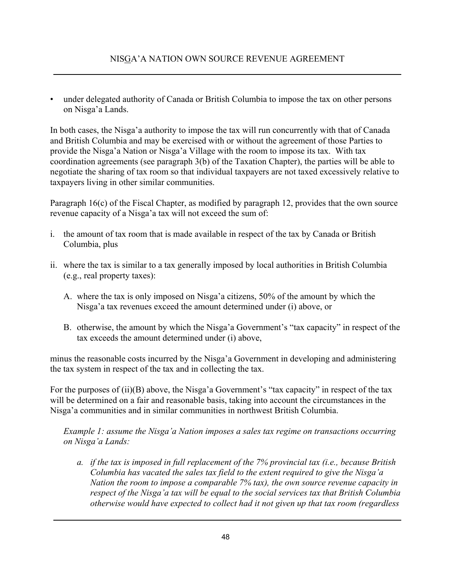• under delegated authority of Canada or British Columbia to impose the tax on other persons on Nisga'a Lands.

In both cases, the Nisga'a authority to impose the tax will run concurrently with that of Canada and British Columbia and may be exercised with or without the agreement of those Parties to provide the Nisga'a Nation or Nisga'a Village with the room to impose its tax. With tax coordination agreements (see paragraph 3(b) of the Taxation Chapter), the parties will be able to negotiate the sharing of tax room so that individual taxpayers are not taxed excessively relative to taxpayers living in other similar communities.

Paragraph 16(c) of the Fiscal Chapter, as modified by paragraph 12, provides that the own source revenue capacity of a Nisga'a tax will not exceed the sum of:

- i. the amount of tax room that is made available in respect of the tax by Canada or British Columbia, plus
- ii. where the tax is similar to a tax generally imposed by local authorities in British Columbia (e.g., real property taxes):
	- A. where the tax is only imposed on Nisga'a citizens, 50% of the amount by which the Nisga'a tax revenues exceed the amount determined under (i) above, or
	- B. otherwise, the amount by which the Nisga'a Government's "tax capacity" in respect of the tax exceeds the amount determined under (i) above,

minus the reasonable costs incurred by the Nisga'a Government in developing and administering the tax system in respect of the tax and in collecting the tax.

For the purposes of (ii)(B) above, the Nisga'a Government's "tax capacity" in respect of the tax will be determined on a fair and reasonable basis, taking into account the circumstances in the Nisga'a communities and in similar communities in northwest British Columbia.

*Example 1: assume the Nisga'a Nation imposes a sales tax regime on transactions occurring on Nisga'a Lands:*

*a. if the tax is imposed in full replacement of the 7% provincial tax (i.e., because British Columbia has vacated the sales tax field to the extent required to give the Nisga'a Nation the room to impose a comparable 7% tax), the own source revenue capacity in respect of the Nisga'a tax will be equal to the social services tax that British Columbia otherwise would have expected to collect had it not given up that tax room (regardless*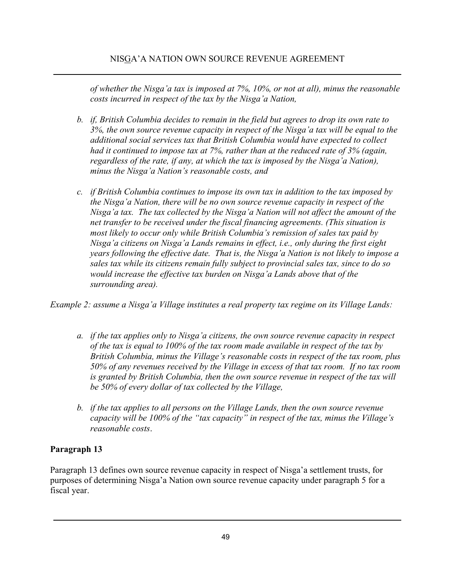*of whether the Nisga'a tax is imposed at 7%, 10%, or not at all), minus the reasonable costs incurred in respect of the tax by the Nisga'a Nation,*

- *b. if, British Columbia decides to remain in the field but agrees to drop its own rate to 3%, the own source revenue capacity in respect of the Nisga'a tax will be equal to the additional social services tax that British Columbia would have expected to collect had it continued to impose tax at 7%, rather than at the reduced rate of 3% (again, regardless of the rate, if any, at which the tax is imposed by the Nisga'a Nation), minus the Nisga'a Nation's reasonable costs, and*
- *c. if British Columbia continues to impose its own tax in addition to the tax imposed by the Nisga'a Nation, there will be no own source revenue capacity in respect of the Nisga'a tax. The tax collected by the Nisga'a Nation will not affect the amount of the net transfer to be received under the fiscal financing agreements. (This situation is most likely to occur only while British Columbia's remission of sales tax paid by Nisga'a citizens on Nisga'a Lands remains in effect, i.e., only during the first eight years following the effective date. That is, the Nisga'a Nation is not likely to impose a sales tax while its citizens remain fully subject to provincial sales tax, since to do so would increase the effective tax burden on Nisga'a Lands above that of the surrounding area).*

*Example 2: assume a Nisga'a Village institutes a real property tax regime on its Village Lands:*

- *a. if the tax applies only to Nisga'a citizens, the own source revenue capacity in respect of the tax is equal to 100% of the tax room made available in respect of the tax by British Columbia, minus the Village's reasonable costs in respect of the tax room, plus 50% of any revenues received by the Village in excess of that tax room. If no tax room is granted by British Columbia, then the own source revenue in respect of the tax will be 50% of every dollar of tax collected by the Village,*
- *b. if the tax applies to all persons on the Village Lands, then the own source revenue capacity will be 100% of the "tax capacity" in respect of the tax, minus the Village's reasonable costs*.

# **Paragraph 13**

Paragraph 13 defines own source revenue capacity in respect of Nisga'a settlement trusts, for purposes of determining Nisga'a Nation own source revenue capacity under paragraph 5 for a fiscal year.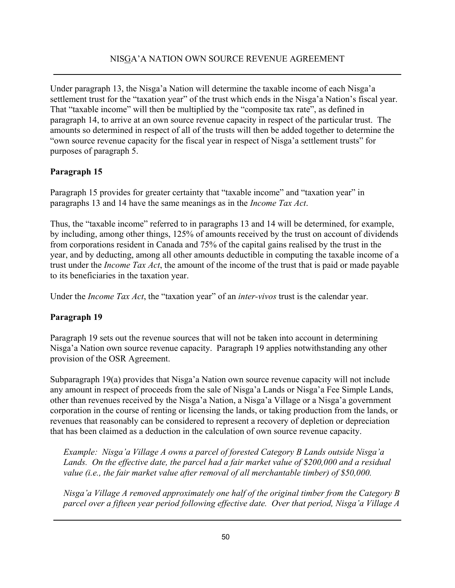Under paragraph 13, the Nisga'a Nation will determine the taxable income of each Nisga'a settlement trust for the "taxation year" of the trust which ends in the Nisga'a Nation's fiscal year. That "taxable income" will then be multiplied by the "composite tax rate", as defined in paragraph 14, to arrive at an own source revenue capacity in respect of the particular trust. The amounts so determined in respect of all of the trusts will then be added together to determine the "own source revenue capacity for the fiscal year in respect of Nisga'a settlement trusts" for purposes of paragraph 5.

# **Paragraph 15**

Paragraph 15 provides for greater certainty that "taxable income" and "taxation year" in paragraphs 13 and 14 have the same meanings as in the *Income Tax Act*.

Thus, the "taxable income" referred to in paragraphs 13 and 14 will be determined, for example, by including, among other things, 125% of amounts received by the trust on account of dividends from corporations resident in Canada and 75% of the capital gains realised by the trust in the year, and by deducting, among all other amounts deductible in computing the taxable income of a trust under the *Income Tax Act*, the amount of the income of the trust that is paid or made payable to its beneficiaries in the taxation year.

Under the *Income Tax Act*, the "taxation year" of an *inter-vivos* trust is the calendar year.

# **Paragraph 19**

Paragraph 19 sets out the revenue sources that will not be taken into account in determining Nisga'a Nation own source revenue capacity. Paragraph 19 applies notwithstanding any other provision of the OSR Agreement.

Subparagraph 19(a) provides that Nisga'a Nation own source revenue capacity will not include any amount in respect of proceeds from the sale of Nisga'a Lands or Nisga'a Fee Simple Lands, other than revenues received by the Nisga'a Nation, a Nisga'a Village or a Nisga'a government corporation in the course of renting or licensing the lands, or taking production from the lands, or revenues that reasonably can be considered to represent a recovery of depletion or depreciation that has been claimed as a deduction in the calculation of own source revenue capacity.

*Example: Nisga'a Village A owns a parcel of forested Category B Lands outside Nisga'a Lands. On the effective date, the parcel had a fair market value of \$200,000 and a residual value (i.e., the fair market value after removal of all merchantable timber) of \$50,000.*

*Nisga'a Village A removed approximately one half of the original timber from the Category B parcel over a fifteen year period following effective date. Over that period, Nisga'a Village A*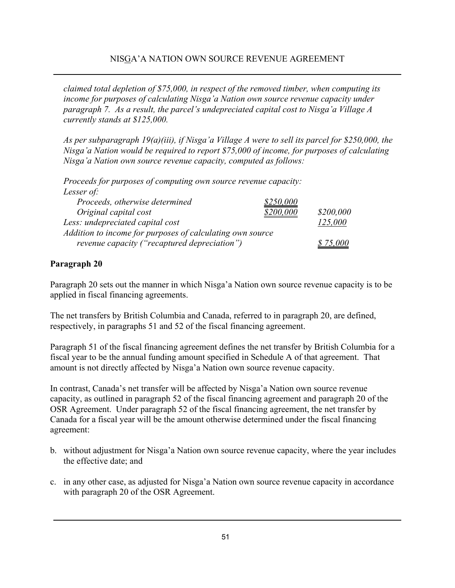*claimed total depletion of \$75,000, in respect of the removed timber, when computing its income for purposes of calculating Nisga'a Nation own source revenue capacity under paragraph 7. As a result, the parcel's undepreciated capital cost to Nisga'a Village A currently stands at \$125,000.*

*As per subparagraph 19(a)(iii), if Nisga'a Village A were to sell its parcel for \$250,000, the Nisga'a Nation would be required to report \$75,000 of income, for purposes of calculating Nisga'a Nation own source revenue capacity, computed as follows:*

*Proceeds for purposes of computing own source revenue capacity: Lesser of: Proceeds, otherwise determined \$250,000 Original capital cost \$200,000 \$200,000 Less: undepreciated capital cost 125,000 Addition to income for purposes of calculating own source revenue capacity ("recaptured depreciation") \$ 75,000* 

### **Paragraph 20**

Paragraph 20 sets out the manner in which Nisga'a Nation own source revenue capacity is to be applied in fiscal financing agreements.

The net transfers by British Columbia and Canada, referred to in paragraph 20, are defined, respectively, in paragraphs 51 and 52 of the fiscal financing agreement.

Paragraph 51 of the fiscal financing agreement defines the net transfer by British Columbia for a fiscal year to be the annual funding amount specified in Schedule A of that agreement. That amount is not directly affected by Nisga'a Nation own source revenue capacity.

In contrast, Canada's net transfer will be affected by Nisga'a Nation own source revenue capacity, as outlined in paragraph 52 of the fiscal financing agreement and paragraph 20 of the OSR Agreement. Under paragraph 52 of the fiscal financing agreement, the net transfer by Canada for a fiscal year will be the amount otherwise determined under the fiscal financing agreement:

- b. without adjustment for Nisga'a Nation own source revenue capacity, where the year includes the effective date; and
- c. in any other case, as adjusted for Nisga'a Nation own source revenue capacity in accordance with paragraph 20 of the OSR Agreement.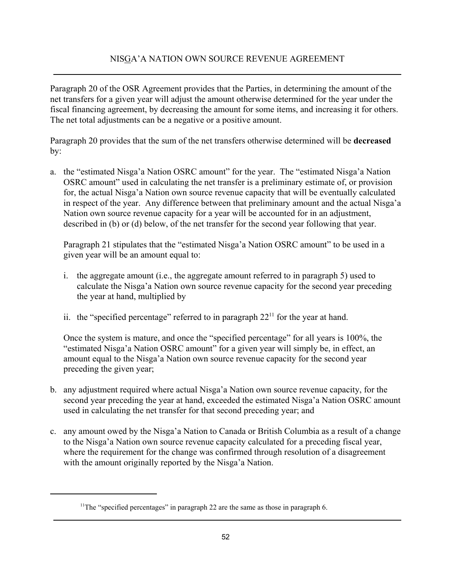Paragraph 20 of the OSR Agreement provides that the Parties, in determining the amount of the net transfers for a given year will adjust the amount otherwise determined for the year under the fiscal financing agreement, by decreasing the amount for some items, and increasing it for others. The net total adjustments can be a negative or a positive amount.

Paragraph 20 provides that the sum of the net transfers otherwise determined will be **decreased** by:

a. the "estimated Nisga'a Nation OSRC amount" for the year. The "estimated Nisga'a Nation OSRC amount" used in calculating the net transfer is a preliminary estimate of, or provision for, the actual Nisga'a Nation own source revenue capacity that will be eventually calculated in respect of the year. Any difference between that preliminary amount and the actual Nisga'a Nation own source revenue capacity for a year will be accounted for in an adjustment, described in (b) or (d) below, of the net transfer for the second year following that year.

Paragraph 21 stipulates that the "estimated Nisga'a Nation OSRC amount" to be used in a given year will be an amount equal to:

- i. the aggregate amount (i.e., the aggregate amount referred to in paragraph 5) used to calculate the Nisga'a Nation own source revenue capacity for the second year preceding the year at hand, multiplied by
- ii. the "specified percentage" referred to in paragraph  $22<sup>11</sup>$  for the year at hand.

Once the system is mature, and once the "specified percentage" for all years is 100%, the "estimated Nisga'a Nation OSRC amount" for a given year will simply be, in effect, an amount equal to the Nisga'a Nation own source revenue capacity for the second year preceding the given year;

- b. any adjustment required where actual Nisga'a Nation own source revenue capacity, for the second year preceding the year at hand, exceeded the estimated Nisga'a Nation OSRC amount used in calculating the net transfer for that second preceding year; and
- c. any amount owed by the Nisga'a Nation to Canada or British Columbia as a result of a change to the Nisga'a Nation own source revenue capacity calculated for a preceding fiscal year, where the requirement for the change was confirmed through resolution of a disagreement with the amount originally reported by the Nisga'a Nation.

<sup>&</sup>lt;sup>11</sup>The "specified percentages" in paragraph 22 are the same as those in paragraph 6.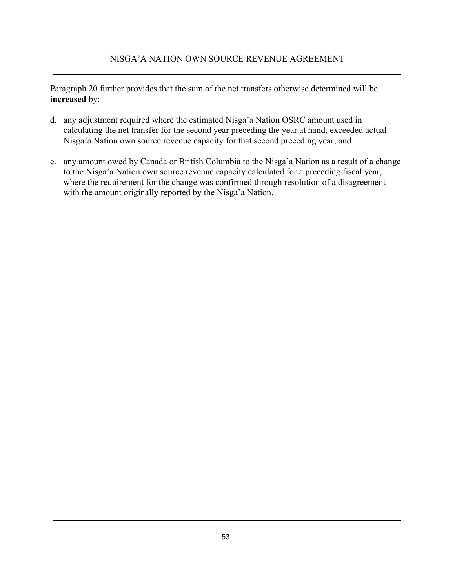Paragraph 20 further provides that the sum of the net transfers otherwise determined will be **increased** by:

- d. any adjustment required where the estimated Nisga'a Nation OSRC amount used in calculating the net transfer for the second year preceding the year at hand, exceeded actual Nisga'a Nation own source revenue capacity for that second preceding year; and
- e. any amount owed by Canada or British Columbia to the Nisga'a Nation as a result of a change to the Nisga'a Nation own source revenue capacity calculated for a preceding fiscal year, where the requirement for the change was confirmed through resolution of a disagreement with the amount originally reported by the Nisga'a Nation.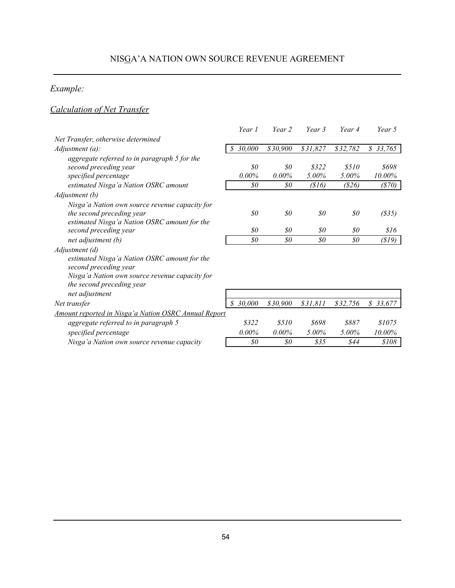# *Example:*

# *Calculation of Net Transfer*

|                                                      | Year 1                               | Year 2   | Year 3   | Year 4           | Year 5   |
|------------------------------------------------------|--------------------------------------|----------|----------|------------------|----------|
| Net Transfer, otherwise determined                   |                                      |          |          |                  |          |
| $Adjustment(a)$ :                                    | 30,000<br>S                          | \$30,900 | \$31,827 | \$32,782         | \$33,765 |
| aggregate referred to in paragraph 5 for the         |                                      |          |          |                  |          |
| second preceding year                                | $\mathcal{S}^{\scriptscriptstyle O}$ | 80       | \$322    | \$510            | \$698    |
| specified percentage                                 | 0.00%                                | $0.00\%$ | 5.00%    | 5.00%            | 10.00%   |
| estimated Nisga'a Nation OSRC amount                 | $\mathcal{S}^{\mathcal{O}}$          | \$0      | (816)    | (S26)            | (870)    |
| Adjustment (b)                                       |                                      |          |          |                  |          |
| Nisga'a Nation own source revenue capacity for       |                                      |          |          |                  |          |
| the second preceding year                            | $\mathcal{S}^{\scriptscriptstyle O}$ | 80       | \$0      | $\mathfrak{g}_0$ | (S35)    |
| estimated Nisga'a Nation OSRC amount for the         |                                      |          |          |                  |          |
| second preceding year                                | $\mathcal{S}^{\scriptscriptstyle O}$ | 80       | 80       | $\mathfrak{g}_0$ | 816      |
| net adjustment (b)                                   | $\$0$                                | 80       | \$0      | $\mathfrak{g}_0$ | (S19)    |
| Adjustment (d)                                       |                                      |          |          |                  |          |
| estimated Nisga'a Nation OSRC amount for the         |                                      |          |          |                  |          |
| second preceding year                                |                                      |          |          |                  |          |
| Nisga'a Nation own source revenue capacity for       |                                      |          |          |                  |          |
| the second preceding year                            |                                      |          |          |                  |          |
| net adjustment                                       |                                      |          |          |                  |          |
| Net transfer                                         | S.<br>30,000                         | \$30,900 | \$31,811 | \$32,756         | \$33,677 |
| Amount reported in Nisga'a Nation OSRC Annual Report |                                      |          |          |                  |          |
| aggregate referred to in paragraph 5                 | \$322                                | \$510    | \$698    | \$887            | \$1075   |
| specified percentage                                 | $0.00\%$                             | $0.00\%$ | $5.00\%$ | 5.00%            | 10.00%   |
| Nisga'a Nation own source revenue capacity           | \$0                                  | 80       | \$35     | \$44             | \$108    |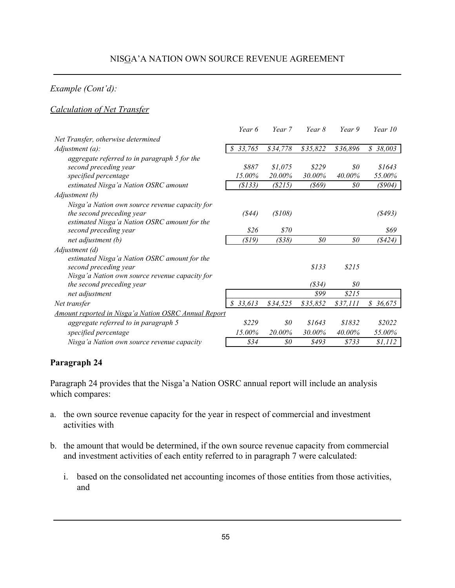### *Example (Cont'd):*

### *Calculation of Net Transfer*

|                                                             | Year 6       | Year 7                      | Year 8   | Year 9             | Year 10                 |
|-------------------------------------------------------------|--------------|-----------------------------|----------|--------------------|-------------------------|
| Net Transfer, otherwise determined                          |              |                             |          |                    |                         |
| Adjustment(a):                                              | 33,765<br>\$ | \$34,778                    | \$35,822 | \$36,896           | $\mathcal{S}$<br>38,003 |
| aggregate referred to in paragraph 5 for the                |              |                             |          |                    |                         |
| second preceding year                                       | \$887        | \$1,075                     | \$229    | \$0                | \$1643                  |
| specified percentage                                        | 15.00%       | 20.00%                      | 30.00%   | 40.00%             | 55.00%                  |
| estimated Nisga'a Nation OSRC amount                        | (S133)       | (S215)                      | (869)    | 80                 | $($ \$904 $)$           |
| Adjustment (b)                                              |              |                             |          |                    |                         |
| Nisga'a Nation own source revenue capacity for              |              |                             |          |                    |                         |
| the second preceding year                                   | (844)        | (S108)                      |          |                    | (8493)                  |
| estimated Nisga'a Nation OSRC amount for the                |              |                             |          |                    |                         |
| second preceding year                                       | \$26         | \$70                        |          |                    | 869                     |
| net adjustment (b)                                          | (S19)        | $($ \$38 $)$                | $\$0$    | $\mathfrak{g}_{0}$ | (\$424)                 |
| Adjustment (d)                                              |              |                             |          |                    |                         |
| estimated Nisga'a Nation OSRC amount for the                |              |                             |          |                    |                         |
| second preceding year                                       |              |                             | \$133    | \$215              |                         |
| Nisga'a Nation own source revenue capacity for              |              |                             |          |                    |                         |
| the second preceding year                                   |              |                             | (S34)    | $\mathfrak{g}_0$   |                         |
| net adjustment                                              |              |                             | \$99     | \$215              |                         |
| Net transfer                                                | \$33,613     | \$34,525                    | \$35,852 | \$37,111           | \$36,675                |
| <b>Amount reported in Nisga'a Nation OSRC Annual Report</b> |              |                             |          |                    |                         |
| aggregate referred to in paragraph 5                        | \$229        | $\mathcal{S}^{\mathcal{O}}$ | \$1643   | \$1832             | \$2022                  |
| specified percentage                                        | 15.00%       | 20.00%                      | 30.00%   | 40.00%             | 55.00%                  |
| Nisga'a Nation own source revenue capacity                  | \$34         | $\mathcal{S}^{\mathcal{O}}$ | \$493    | \$733              | \$1,112                 |
|                                                             |              |                             |          |                    |                         |

### **Paragraph 24**

Paragraph 24 provides that the Nisga'a Nation OSRC annual report will include an analysis which compares:

- a. the own source revenue capacity for the year in respect of commercial and investment activities with
- b. the amount that would be determined, if the own source revenue capacity from commercial and investment activities of each entity referred to in paragraph 7 were calculated:
	- i. based on the consolidated net accounting incomes of those entities from those activities, and